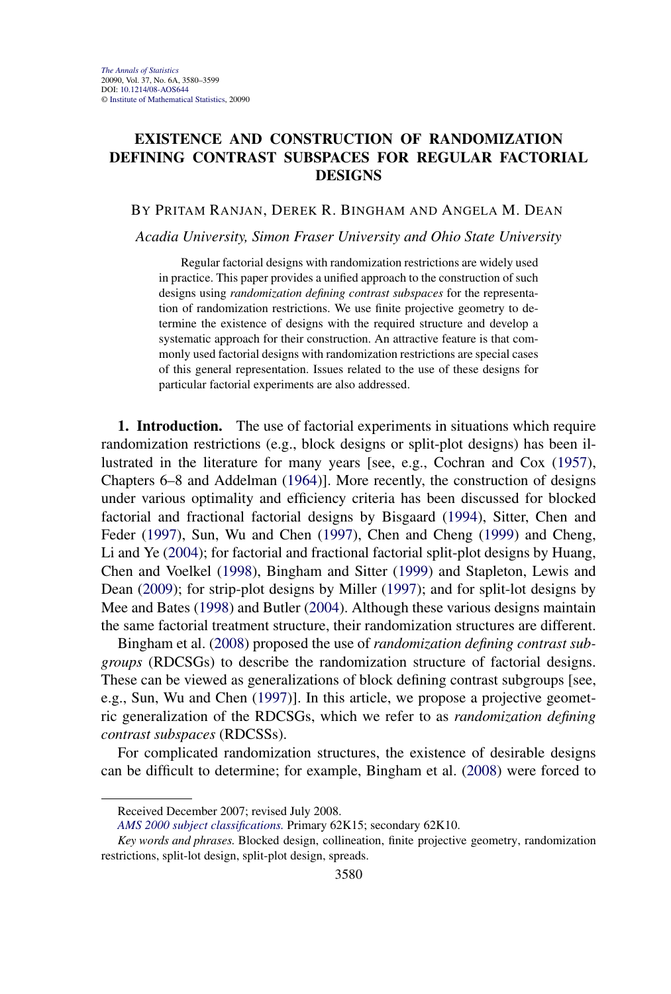## **EXISTENCE AND CONSTRUCTION OF RANDOMIZATION DEFINING CONTRAST SUBSPACES FOR REGULAR FACTORIAL DESIGNS**

## BY PRITAM RANJAN, DEREK R. BINGHAM AND ANGELA M. DEAN

## *Acadia University, Simon Fraser University and Ohio State University*

Regular factorial designs with randomization restrictions are widely used in practice. This paper provides a unified approach to the construction of such designs using *randomization defining contrast subspaces* for the representation of randomization restrictions. We use finite projective geometry to determine the existence of designs with the required structure and develop a systematic approach for their construction. An attractive feature is that commonly used factorial designs with randomization restrictions are special cases of this general representation. Issues related to the use of these designs for particular factorial experiments are also addressed.

**1. Introduction.** The use of factorial experiments in situations which require randomization restrictions (e.g., block designs or split-plot designs) has been illustrated in the literature for many years [see, e.g., Cochran and Cox (1957), Chapters 6–8 and Addelman (1964)]. More recently, the construction of designs under various optimality and efficiency criteria has been discussed for blocked factorial and fractional factorial designs by Bisgaard (1994), Sitter, Chen and Feder (1997), Sun, Wu and Chen (1997), Chen and Cheng (1999) and Cheng, Li and Ye (2004); for factorial and fractional factorial split-plot designs by Huang, Chen and Voelkel (1998), Bingham and Sitter (1999) and Stapleton, Lewis and Dean (2009); for strip-plot designs by Miller (1997); and for split-lot designs by Mee and Bates (1998) and Butler (2004). Although these various designs maintain the same factorial treatment structure, their randomization structures are different.

Bingham et al. (2008) proposed the use of *randomization defining contrast subgroups* (RDCSGs) to describe the randomization structure of factorial designs. These can be viewed as generalizations of block defining contrast subgroups [see, e.g., Sun, Wu and Chen (1997)]. In this article, we propose a projective geometric generalization of the RDCSGs, which we refer to as *randomization defining contrast subspaces* (RDCSSs).

For complicated randomization structures, the existence of desirable designs can be difficult to determine; for example, Bingham et al. (2008) were forced to

Received December 2007; revised July 2008.

*AMS 2000 subject classifications.* Primary 62K15; secondary 62K10.

*Key words and phrases.* Blocked design, collineation, finite projective geometry, randomization restrictions, split-lot design, split-plot design, spreads.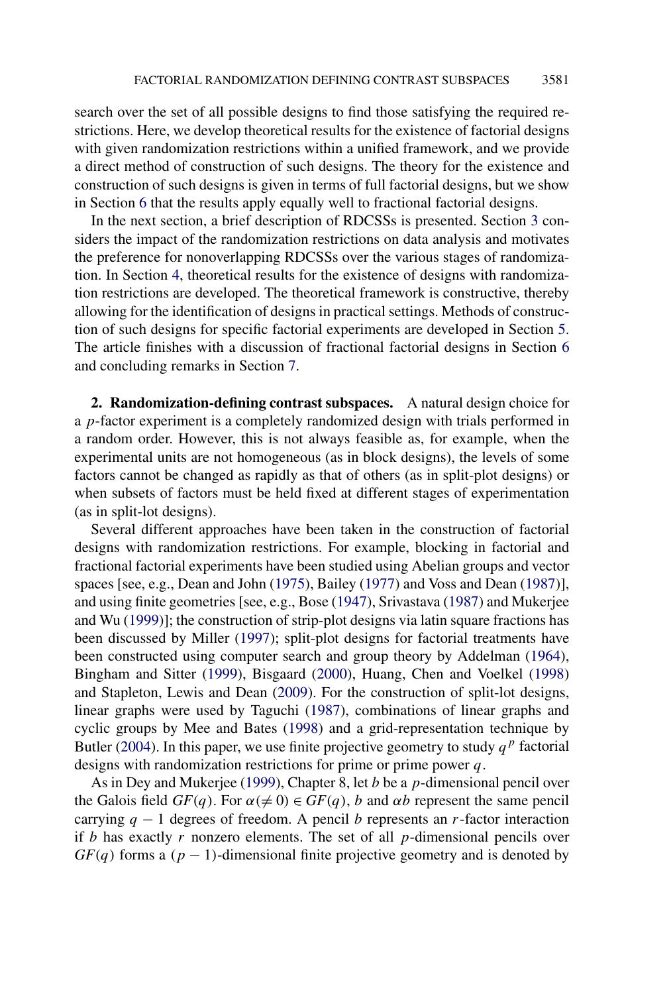search over the set of all possible designs to find those satisfying the required restrictions. Here, we develop theoretical results for the existence of factorial designs with given randomization restrictions within a unified framework, and we provide a direct method of construction of such designs. The theory for the existence and construction of such designs is given in terms of full factorial designs, but we show in Section 6 that the results apply equally well to fractional factorial designs.

In the next section, a brief description of RDCSSs is presented. Section 3 considers the impact of the randomization restrictions on data analysis and motivates the preference for nonoverlapping RDCSSs over the various stages of randomization. In Section 4, theoretical results for the existence of designs with randomization restrictions are developed. The theoretical framework is constructive, thereby allowing for the identification of designs in practical settings. Methods of construction of such designs for specific factorial experiments are developed in Section 5. The article finishes with a discussion of fractional factorial designs in Section 6 and concluding remarks in Section 7.

**2. Randomization-defining contrast subspaces.** A natural design choice for a p-factor experiment is a completely randomized design with trials performed in a random order. However, this is not always feasible as, for example, when the experimental units are not homogeneous (as in block designs), the levels of some factors cannot be changed as rapidly as that of others (as in split-plot designs) or when subsets of factors must be held fixed at different stages of experimentation (as in split-lot designs).

Several different approaches have been taken in the construction of factorial designs with randomization restrictions. For example, blocking in factorial and fractional factorial experiments have been studied using Abelian groups and vector spaces [see, e.g., Dean and John (1975), Bailey (1977) and Voss and Dean (1987)], and using finite geometries [see, e.g., Bose (1947), Srivastava (1987) and Mukerjee and Wu (1999)]; the construction of strip-plot designs via latin square fractions has been discussed by Miller (1997); split-plot designs for factorial treatments have been constructed using computer search and group theory by Addelman (1964), Bingham and Sitter (1999), Bisgaard (2000), Huang, Chen and Voelkel (1998) and Stapleton, Lewis and Dean (2009). For the construction of split-lot designs, linear graphs were used by Taguchi (1987), combinations of linear graphs and cyclic groups by Mee and Bates (1998) and a grid-representation technique by Butler (2004). In this paper, we use finite projective geometry to study  $q^p$  factorial designs with randomization restrictions for prime or prime power q.

As in Dey and Mukerjee (1999), Chapter 8, let b be a p-dimensional pencil over the Galois field  $GF(q)$ . For  $\alpha (\neq 0) \in GF(q)$ , b and  $\alpha b$  represent the same pencil carrying  $q - 1$  degrees of freedom. A pencil b represents an r-factor interaction if  $b$  has exactly  $r$  nonzero elements. The set of all  $p$ -dimensional pencils over  $GF(q)$  forms a  $(p - 1)$ -dimensional finite projective geometry and is denoted by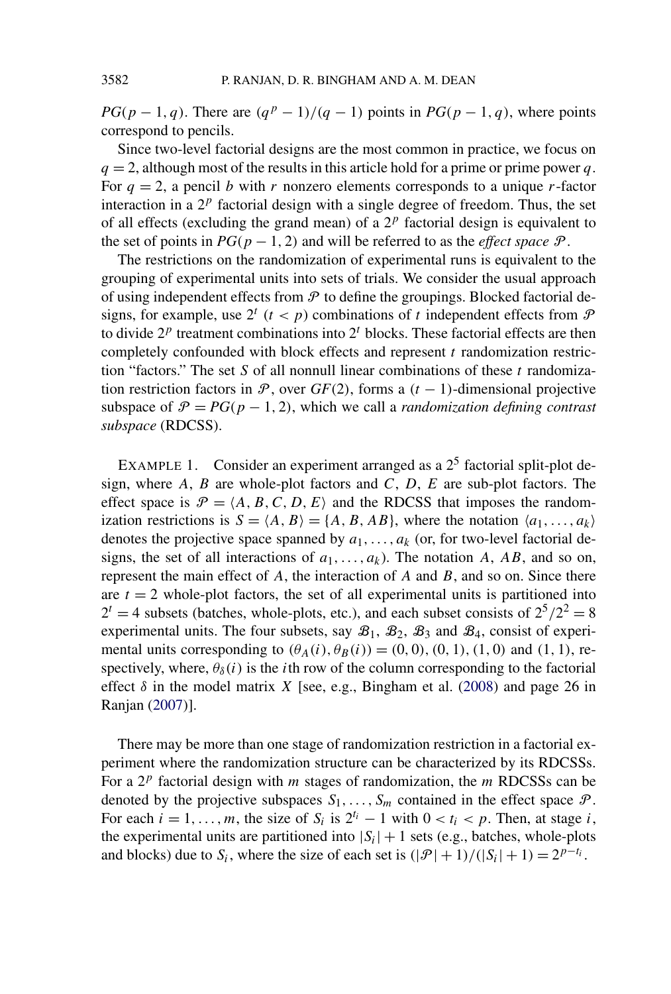*PG*( $p - 1$ ,  $q$ ). There are  $\frac{q^p - 1}{q - 1}$  points in *PG*( $p - 1$ ,  $q$ ), where points correspond to pencils.

Since two-level factorial designs are the most common in practice, we focus on  $q = 2$ , although most of the results in this article hold for a prime or prime power q. For  $q = 2$ , a pencil b with r nonzero elements corresponds to a unique r-factor interaction in a  $2^p$  factorial design with a single degree of freedom. Thus, the set of all effects (excluding the grand mean) of a  $2<sup>p</sup>$  factorial design is equivalent to the set of points in  $PG(p-1, 2)$  and will be referred to as the *effect space*  $\mathcal{P}$ .

The restrictions on the randomization of experimental runs is equivalent to the grouping of experimental units into sets of trials. We consider the usual approach of using independent effects from  $P$  to define the groupings. Blocked factorial designs, for example, use  $2^t$  ( $t < p$ ) combinations of t independent effects from  $\mathcal P$ to divide  $2^p$  treatment combinations into  $2^t$  blocks. These factorial effects are then completely confounded with block effects and represent  $t$  randomization restriction "factors." The set S of all nonnull linear combinations of these  $t$  randomization restriction factors in  $\mathcal{P}$ , over  $GF(2)$ , forms a  $(t - 1)$ -dimensional projective subspace of  $\mathcal{P} = PG(p-1, 2)$ , which we call a *randomization defining contrast subspace* (RDCSS).

EXAMPLE 1. Consider an experiment arranged as a  $2^5$  factorial split-plot design, where  $A$ ,  $B$  are whole-plot factors and  $C$ ,  $D$ ,  $E$  are sub-plot factors. The effect space is  $\mathcal{P} = \langle A, B, C, D, E \rangle$  and the RDCSS that imposes the randomization restrictions is  $S = \langle A, B \rangle = \{A, B, AB\}$ , where the notation  $\langle a_1, \ldots, a_k \rangle$ denotes the projective space spanned by  $a_1, \ldots, a_k$  (or, for two-level factorial designs, the set of all interactions of  $a_1, \ldots, a_k$ ). The notation A, AB, and so on, represent the main effect of  $A$ , the interaction of  $A$  and  $B$ , and so on. Since there are  $t = 2$  whole-plot factors, the set of all experimental units is partitioned into  $2^t = 4$  subsets (batches, whole-plots, etc.), and each subset consists of  $2^5/2^2 = 8$ experimental units. The four subsets, say  $\mathcal{B}_1$ ,  $\mathcal{B}_2$ ,  $\mathcal{B}_3$  and  $\mathcal{B}_4$ , consist of experimental units corresponding to  $(\theta_A(i), \theta_B(i)) = (0, 0), (0, 1), (1, 0)$  and  $(1, 1)$ , respectively, where,  $\theta_{\delta}(i)$  is the *i*th row of the column corresponding to the factorial effect  $\delta$  in the model matrix X [see, e.g., Bingham et al. (2008) and page 26 in Ranjan (2007)].

There may be more than one stage of randomization restriction in a factorial experiment where the randomization structure can be characterized by its RDCSSs. For a  $2^p$  factorial design with m stages of randomization, the m RDCSSs can be denoted by the projective subspaces  $S_1, \ldots, S_m$  contained in the effect space  $\mathcal{P}$ . For each  $i = 1, ..., m$ , the size of  $S_i$  is  $2^{t_i} - 1$  with  $0 < t_i < p$ . Then, at stage i, the experimental units are partitioned into  $|S_i| + 1$  sets (e.g., batches, whole-plots and blocks) due to  $S_i$ , where the size of each set is  $(|\mathcal{P}| + 1)/(|S_i| + 1) = 2^{p-t_i}$ .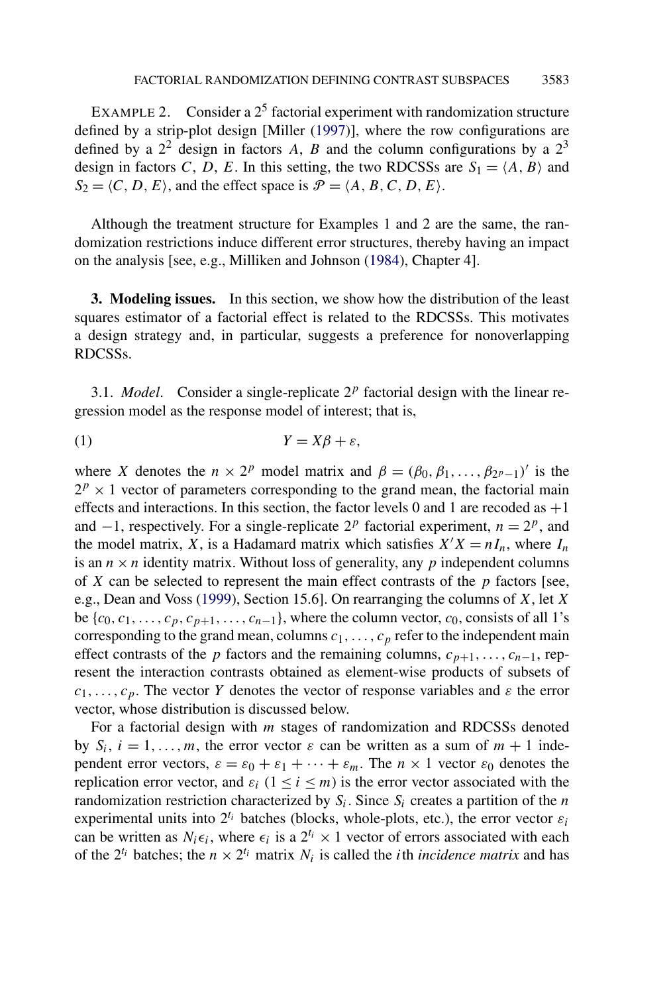EXAMPLE 2. Consider a  $2^5$  factorial experiment with randomization structure defined by a strip-plot design [Miller (1997)], where the row configurations are defined by a  $2^2$  design in factors A, B and the column configurations by a  $2^3$ design in factors C, D, E. In this setting, the two RDCSSs are  $S_1 = \langle A, B \rangle$  and  $S_2 = \langle C, D, E \rangle$ , and the effect space is  $\mathcal{P} = \langle A, B, C, D, E \rangle$ .

Although the treatment structure for Examples 1 and 2 are the same, the randomization restrictions induce different error structures, thereby having an impact on the analysis [see, e.g., Milliken and Johnson (1984), Chapter 4].

**3. Modeling issues.** In this section, we show how the distribution of the least squares estimator of a factorial effect is related to the RDCSSs. This motivates a design strategy and, in particular, suggests a preference for nonoverlapping RDCSSs.

3.1. *Model*. Consider a single-replicate  $2^p$  factorial design with the linear regression model as the response model of interest; that is,

$$
(1) \t Y = X\beta + \varepsilon,
$$

where X denotes the  $n \times 2^p$  model matrix and  $\beta = (\beta_0, \beta_1, ..., \beta_{2^p-1})'$  is the  $2^p \times 1$  vector of parameters corresponding to the grand mean, the factorial main effects and interactions. In this section, the factor levels 0 and 1 are recoded as  $+1$ and  $-1$ , respectively. For a single-replicate  $2^p$  factorial experiment,  $n = 2^p$ , and the model matrix, X, is a Hadamard matrix which satisfies  $X'X = nI_n$ , where  $I_n$ is an  $n \times n$  identity matrix. Without loss of generality, any p independent columns of  $X$  can be selected to represent the main effect contrasts of the  $p$  factors [see, e.g., Dean and Voss (1999), Section 15.6]. On rearranging the columns of X, let X be  $\{c_0, c_1, \ldots, c_p, c_{p+1}, \ldots, c_{n-1}\}$ , where the column vector,  $c_0$ , consists of all 1's corresponding to the grand mean, columns  $c_1, \ldots, c_p$  refer to the independent main effect contrasts of the p factors and the remaining columns,  $c_{p+1}, \ldots, c_{n-1}$ , represent the interaction contrasts obtained as element-wise products of subsets of  $c_1, \ldots, c_p$ . The vector Y denotes the vector of response variables and  $\varepsilon$  the error vector, whose distribution is discussed below.

For a factorial design with m stages of randomization and RDCSSs denoted by  $S_i$ ,  $i = 1, ..., m$ , the error vector  $\varepsilon$  can be written as a sum of  $m + 1$  independent error vectors,  $\varepsilon = \varepsilon_0 + \varepsilon_1 + \cdots + \varepsilon_m$ . The  $n \times 1$  vector  $\varepsilon_0$  denotes the replication error vector, and  $\varepsilon_i$  ( $1 \le i \le m$ ) is the error vector associated with the randomization restriction characterized by  $S_i$ . Since  $S_i$  creates a partition of the *n* experimental units into  $2^{t_i}$  batches (blocks, whole-plots, etc.), the error vector  $\varepsilon_i$ can be written as  $N_i \epsilon_i$ , where  $\epsilon_i$  is a  $2^{t_i} \times 1$  vector of errors associated with each of the  $2^{t_i}$  batches; the  $n \times 2^{t_i}$  matrix  $N_i$  is called the *i*th *incidence matrix* and has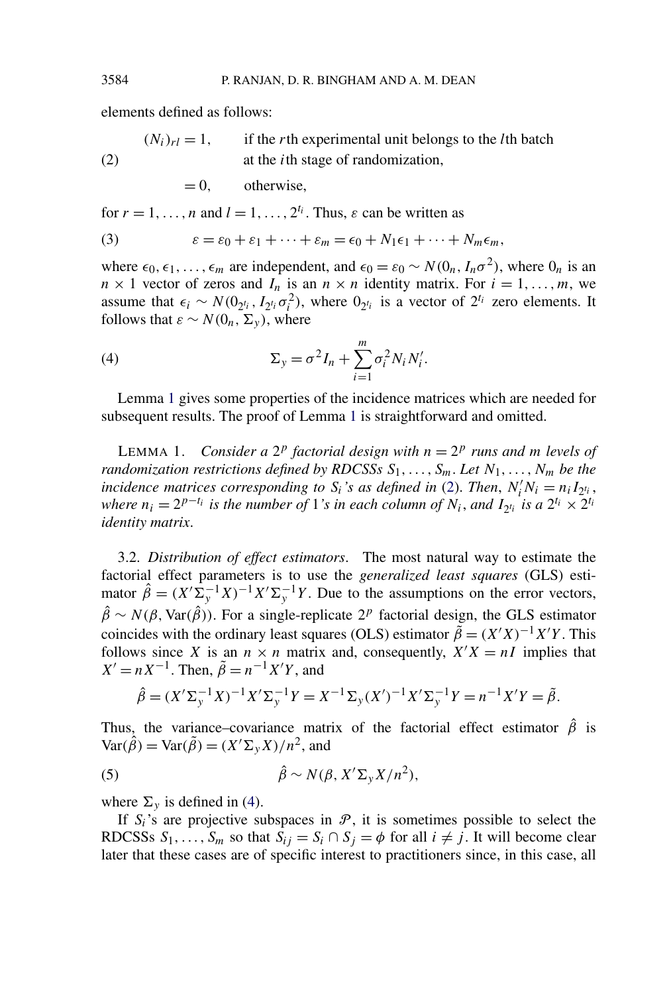elements defined as follows:

 $(N_i)_{r,l} = 1$ , if the *r*th experimental unit belongs to the *l*th batch (2) at the ith stage of randomization,

 $= 0$ , otherwise,

for  $r = 1, ..., n$  and  $l = 1, ..., 2^{t_i}$ . Thus,  $\varepsilon$  can be written as

(3) 
$$
\varepsilon = \varepsilon_0 + \varepsilon_1 + \dots + \varepsilon_m = \varepsilon_0 + N_1 \varepsilon_1 + \dots + N_m \varepsilon_m,
$$

where  $\epsilon_0, \epsilon_1, \ldots, \epsilon_m$  are independent, and  $\epsilon_0 = \epsilon_0 \sim N(0_n, I_n \sigma^2)$ , where  $0_n$  is an  $n \times 1$  vector of zeros and  $I_n$  is an  $n \times n$  identity matrix. For  $i = 1, \ldots, m$ , we assume that  $\epsilon_i \sim N(0_{2^{t_i}}, I_{2^{t_i}} \sigma_i^2)$ , where  $0_{2^{t_i}}$  is a vector of  $2^{t_i}$  zero elements. It follows that  $\varepsilon \sim N(0_n, \Sigma_v)$ , where

(4) 
$$
\Sigma_y = \sigma^2 I_n + \sum_{i=1}^m \sigma_i^2 N_i N_i'.
$$

Lemma 1 gives some properties of the incidence matrices which are needed for subsequent results. The proof of Lemma 1 is straightforward and omitted.

LEMMA 1. *Consider a*  $2^p$  *factorial design with*  $n = 2^p$  *runs and m levels of randomization restrictions defined by RDCSSs*  $S_1, \ldots, S_m$ *. Let*  $N_1, \ldots, N_m$  *be the incidence matrices corresponding to*  $S_i$ *'s as defined in* (2). *Then*,  $N_i^{\prime} N_i = n_i I_{2^{t_i}}$ , *where*  $n_i = 2^{p-t_i}$  *is the number of* 1*'s in each column of*  $N_i$ *, and*  $I_{2^{t_i}}$  *is a*  $2^{t_i} \times 2^{t_i}$ *identity matrix*.

3.2. *Distribution of effect estimators*. The most natural way to estimate the factorial effect parameters is to use the *generalized least squares* (GLS) estimator  $\hat{\beta} = (X' \Sigma_y^{-1} X)^{-1} X' \Sigma_y^{-1} Y$ . Due to the assumptions on the error vectors,  $\hat{\beta} \sim N(\beta, \text{Var}(\hat{\beta}))$ . For a single-replicate  $2^p$  factorial design, the GLS estimator coincides with the ordinary least squares (OLS) estimator  $\tilde{\beta} = (X'X)^{-1}X'Y$ . This follows since X is an  $n \times n$  matrix and, consequently,  $X'X = nI$  implies that  $X' = nX^{-1}$ . Then,  $\tilde{\beta} = n^{-1}X'Y$ , and

$$
\hat{\beta} = (X^{\prime} \Sigma_{y}^{-1} X)^{-1} X^{\prime} \Sigma_{y}^{-1} Y = X^{-1} \Sigma_{y} (X^{\prime})^{-1} X^{\prime} \Sigma_{y}^{-1} Y = n^{-1} X^{\prime} Y = \tilde{\beta}.
$$

Thus, the variance–covariance matrix of the factorial effect estimator  $\hat{\beta}$  is  $\text{Var}(\hat{\beta}) = \text{Var}(\tilde{\beta}) = (X' \Sigma_{y} X)/n^{2}$ , and

(5) 
$$
\hat{\beta} \sim N(\beta, X' \Sigma_{\mathcal{Y}} X/n^2),
$$

where  $\Sigma_{v}$  is defined in (4).

If  $S_i$ 's are projective subspaces in  $\mathcal{P}$ , it is sometimes possible to select the RDCSSs  $S_1, \ldots, S_m$  so that  $S_{ij} = S_i \cap S_j = \phi$  for all  $i \neq j$ . It will become clear later that these cases are of specific interest to practitioners since, in this case, all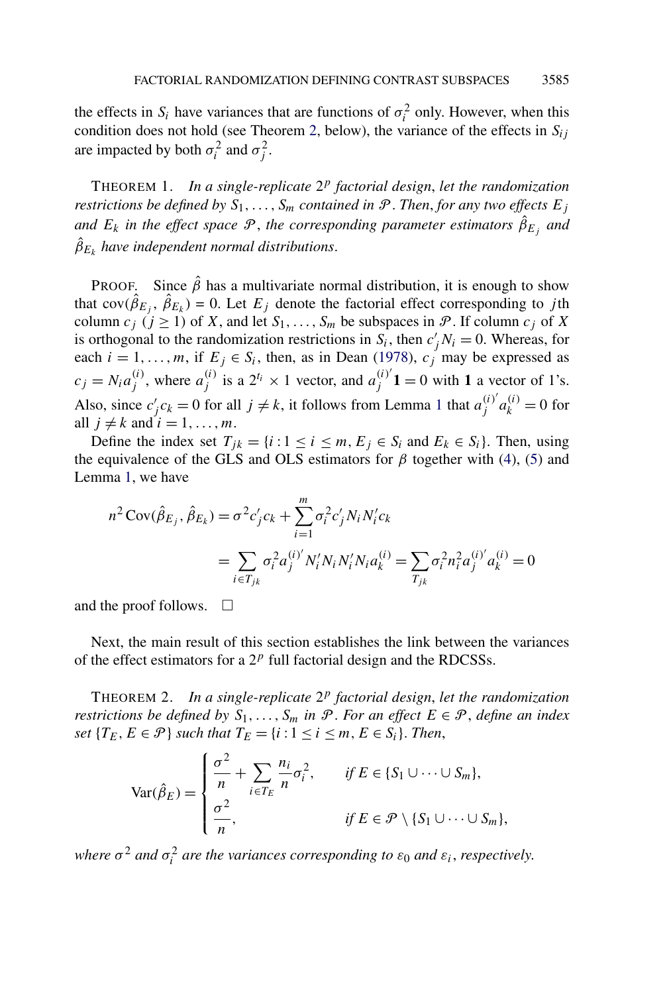the effects in  $S_i$  have variances that are functions of  $\sigma_i^2$  only. However, when this condition does not hold (see Theorem 2, below), the variance of the effects in  $S_{ij}$ are impacted by both  $\sigma_i^2$  and  $\sigma_j^2$ .

THEOREM 1. *In a single-replicate* 2 p *factorial design*, *let the randomization restrictions be defined by*  $S_1, \ldots, S_m$  *contained in*  $P$ *. Then, for any two effects*  $E_j$ and  $E_k$  in the effect space  $\mathcal P,$  the corresponding parameter estimators  $\hat\beta_{E_j}$  and  $\hat{\beta}_{E_k}$  have independent normal distributions.

PROOF. Since  $\hat{\beta}$  has a multivariate normal distribution, it is enough to show that  $cov(\hat{\beta}_{E_j}, \hat{\beta}_{E_k}) = 0$ . Let  $E_j$  denote the factorial effect corresponding to jth column  $c_j$   $(j \ge 1)$  of X, and let  $S_1, \ldots, S_m$  be subspaces in P. If column  $c_j$  of X is orthogonal to the randomization restrictions in  $S_i$ , then  $c'_j N_i = 0$ . Whereas, for each  $i = 1, ..., m$ , if  $E_j \in S_i$ , then, as in Dean (1978),  $c_j$  may be expressed as  $c_j = N_i a_i^{(i)}$  $j^{(i)}$ , where  $a_j^{(i)}$  $j^{(i)}$  is a  $2^{t_i} \times 1$  vector, and  $a_j^{(i)'}$  $j^{(t)}$  **1** = 0 with **1** a vector of 1's. Also, since  $c'_j c_k = 0$  for all  $j \neq k$ , it follows from Lemma 1 that  $a_j^{(i)}$  $j^{(i)'} a_k^{(i)} = 0$  for all  $j \neq k$  and  $i = 1, \ldots, m$ .

Define the index set  $T_{jk} = \{i : 1 \le i \le m, E_j \in S_i \text{ and } E_k \in S_i\}$ . Then, using the equivalence of the GLS and OLS estimators for  $\beta$  together with (4), (5) and Lemma 1, we have

$$
n^{2} \text{Cov}(\hat{\beta}_{E_{j}}, \hat{\beta}_{E_{k}}) = \sigma^{2} c'_{j} c_{k} + \sum_{i=1}^{m} \sigma_{i}^{2} c'_{j} N_{i} N'_{i} c_{k}
$$
  
= 
$$
\sum_{i \in T_{jk}} \sigma_{i}^{2} a_{j}^{(i')} N'_{i} N_{i} N'_{i} N_{i} a_{k}^{(i)} = \sum_{T_{jk}} \sigma_{i}^{2} n_{i}^{2} a_{j}^{(i')} a_{k}^{(i)} = 0
$$

and the proof follows.  $\Box$ 

Next, the main result of this section establishes the link between the variances of the effect estimators for a  $2^p$  full factorial design and the RDCSSs.

THEOREM 2. *In a single-replicate* 2 p *factorial design*, *let the randomization restrictions be defined by*  $S_1, \ldots, S_m$  *in*  $\mathcal{P}$ *. For an effect*  $E \in \mathcal{P}$ *, define an index set*  $\{T_E, E \in \mathcal{P}\}\$  *such that*  $T_E = \{i : 1 \le i \le m, E \in S_i\}\$ . *Then*,

$$
\text{Var}(\hat{\beta}_E) = \begin{cases} \frac{\sigma^2}{n} + \sum_{i \in T_E} \frac{n_i}{n} \sigma_i^2, & \text{if } E \in \{S_1 \cup \dots \cup S_m\}, \\ \frac{\sigma^2}{n}, & \text{if } E \in \mathcal{P} \setminus \{S_1 \cup \dots \cup S_m\}, \end{cases}
$$

where  $\sigma^2$  and  $\sigma_i^2$  are the variances corresponding to  $\varepsilon_0$  and  $\varepsilon_i$ , respectively.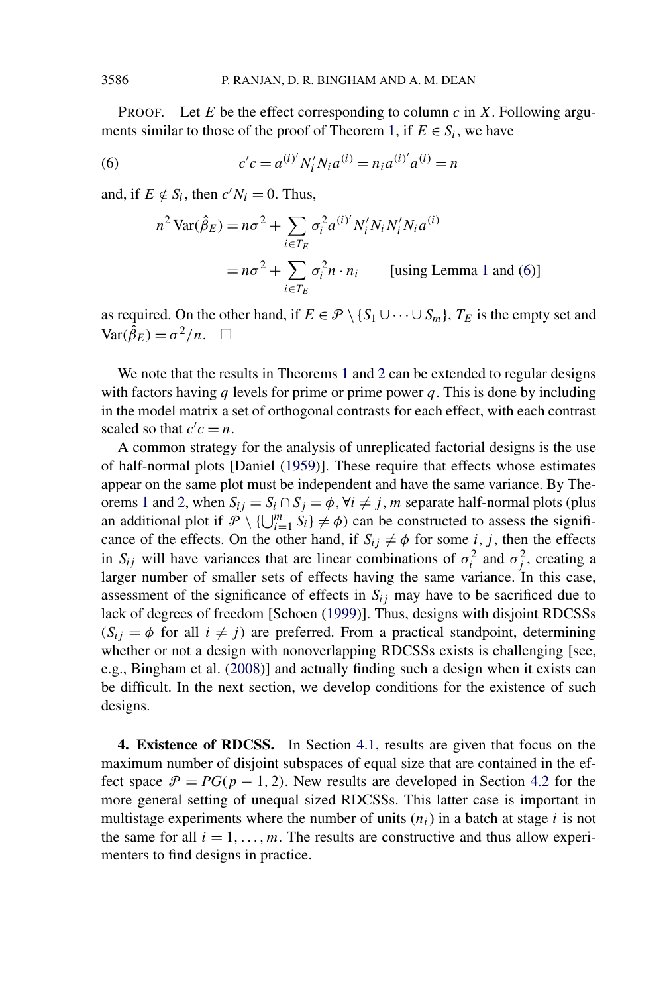**PROOF.** Let E be the effect corresponding to column c in X. Following arguments similar to those of the proof of Theorem 1, if  $E \in S_i$ , we have

(6) 
$$
c'c = a^{(i)'}N_i'N_i a^{(i)} = n_i a^{(i)'} a^{(i)} = n
$$

and, if  $E \notin S_i$ , then  $c'N_i = 0$ . Thus,

$$
n^2 \operatorname{Var}(\hat{\beta}_E) = n\sigma^2 + \sum_{i \in T_E} \sigma_i^2 a^{(i)'} N_i' N_i N_i' N_i a^{(i)}
$$
  
=  $n\sigma^2 + \sum_{i \in T_E} \sigma_i^2 n \cdot n_i$  [using Lemma 1 and (6)]

as required. On the other hand, if  $E \in \mathcal{P} \setminus \{S_1 \cup \cdots \cup S_m\}$ ,  $T_E$  is the empty set and Var $(\hat{\beta}_E) = \sigma^2/n$ .  $\Box$ 

We note that the results in Theorems 1 and 2 can be extended to regular designs with factors having q levels for prime or prime power q. This is done by including in the model matrix a set of orthogonal contrasts for each effect, with each contrast scaled so that  $c'c = n$ .

A common strategy for the analysis of unreplicated factorial designs is the use of half-normal plots [Daniel (1959)]. These require that effects whose estimates appear on the same plot must be independent and have the same variance. By Theorems 1 and 2, when  $S_{ij} = S_i \cap S_j = \phi$ ,  $\forall i \neq j$ , m separate half-normal plots (plus an additional plot if  $\mathcal{P} \setminus \{\bigcup_{i=1}^m S_i\} \neq \phi$  can be constructed to assess the significance of the effects. On the other hand, if  $S_{ij} \neq \phi$  for some *i*, *j*, then the effects in  $S_{ij}$  will have variances that are linear combinations of  $\sigma_i^2$  and  $\sigma_j^2$ , creating a larger number of smaller sets of effects having the same variance. In this case, assessment of the significance of effects in  $S_{ij}$  may have to be sacrificed due to lack of degrees of freedom [Schoen (1999)]. Thus, designs with disjoint RDCSSs  $(S_{ij} = \phi$  for all  $i \neq j$ ) are preferred. From a practical standpoint, determining whether or not a design with nonoverlapping RDCSSs exists is challenging [see, e.g., Bingham et al. (2008)] and actually finding such a design when it exists can be difficult. In the next section, we develop conditions for the existence of such designs.

**4. Existence of RDCSS.** In Section 4.1, results are given that focus on the maximum number of disjoint subspaces of equal size that are contained in the effect space  $\mathcal{P} = PG(p-1, 2)$ . New results are developed in Section 4.2 for the more general setting of unequal sized RDCSSs. This latter case is important in multistage experiments where the number of units  $(n<sub>i</sub>)$  in a batch at stage i is not the same for all  $i = 1, \ldots, m$ . The results are constructive and thus allow experimenters to find designs in practice.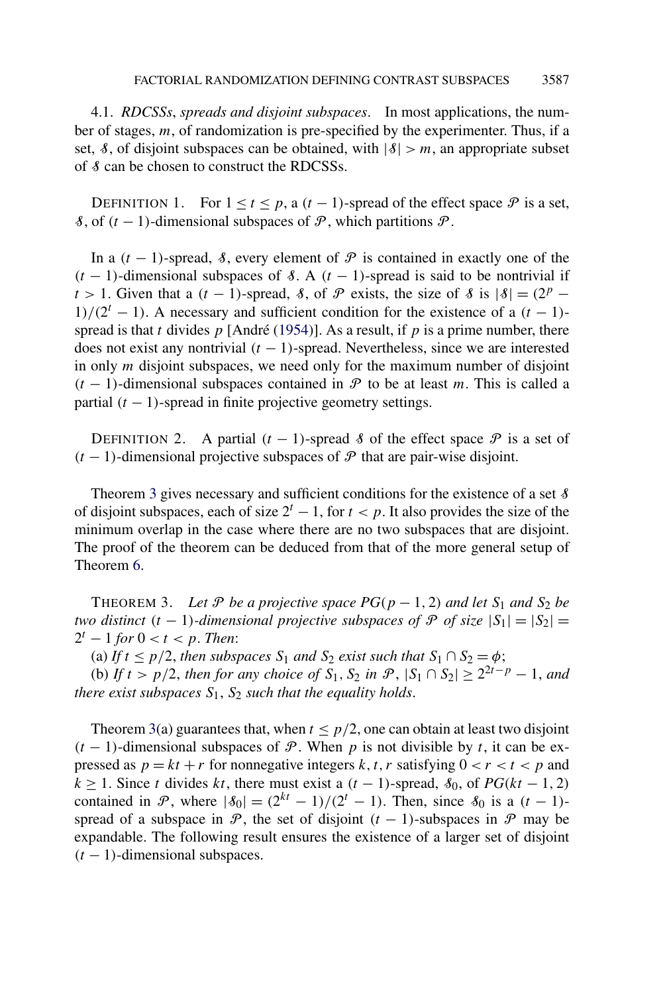4.1. *RDCSSs*, *spreads and disjoint subspaces*. In most applications, the number of stages, m, of randomization is pre-specified by the experimenter. Thus, if a set,  $\delta$ , of disjoint subspaces can be obtained, with  $|\delta| > m$ , an appropriate subset of  $\beta$  can be chosen to construct the RDCSSs.

DEFINITION 1. For  $1 \le t \le p$ , a  $(t-1)$ -spread of the effect space  $\mathcal P$  is a set, S, of  $(t − 1)$ -dimensional subspaces of  $P$ , which partitions  $P$ .

In a  $(t - 1)$ -spread, *§*, every element of  $P$  is contained in exactly one of the  $(t - 1)$ -dimensional subspaces of *S*. A  $(t - 1)$ -spread is said to be nontrivial if t > 1. Given that a  $(t - 1)$ -spread, 8, of P exists, the size of 8 is  $|\mathcal{S}| = (2^p - 1)$  $1)/(2<sup>t</sup> - 1)$ . A necessary and sufficient condition for the existence of a  $(t - 1)$ spread is that t divides  $p$  [André (1954)]. As a result, if  $p$  is a prime number, there does not exist any nontrivial  $(t - 1)$ -spread. Nevertheless, since we are interested in only  $m$  disjoint subspaces, we need only for the maximum number of disjoint  $(t - 1)$ -dimensional subspaces contained in  $\mathcal P$  to be at least m. This is called a partial  $(t - 1)$ -spread in finite projective geometry settings.

DEFINITION 2. A partial  $(t - 1)$ -spread *§* of the effect space  $\mathcal P$  is a set of  $(t - 1)$ -dimensional projective subspaces of  $P$  that are pair-wise disjoint.

Theorem 3 gives necessary and sufficient conditions for the existence of a set  $\delta$ of disjoint subspaces, each of size  $2^{t} - 1$ , for  $t < p$ . It also provides the size of the minimum overlap in the case where there are no two subspaces that are disjoint. The proof of the theorem can be deduced from that of the more general setup of Theorem 6.

THEOREM 3. Let P be a projective space  $PG(p-1, 2)$  and let  $S_1$  and  $S_2$  be *two distinct*  $(t - 1)$ *-dimensional projective subspaces of* P *of size*  $|S_1| = |S_2|$  =  $2^t - 1$  *for*  $0 < t < p$ *. Then:* 

(a) If  $t \leq p/2$ , *then subspaces*  $S_1$  *and*  $S_2$  *exist such that*  $S_1 \cap S_2 = \phi$ ;

(b) *If*  $t > p/2$ , *then for any choice of*  $S_1$ ,  $S_2$  *in*  $\mathcal{P}$ ,  $|S_1 \cap S_2| \ge 2^{2t-p} - 1$ , *and there exist subspaces*  $S_1$ ,  $S_2$  *such that the equality holds.* 

Theorem 3(a) guarantees that, when  $t \leq p/2$ , one can obtain at least two disjoint  $(t-1)$ -dimensional subspaces of P. When p is not divisible by t, it can be expressed as  $p = kt + r$  for nonnegative integers k, t, r satisfying  $0 < r < t < p$  and  $k \ge 1$ . Since t divides kt, there must exist a  $(t - 1)$ -spread,  $\delta_0$ , of  $PG(kt - 1, 2)$ contained in P, where  $|\delta_0| = (2^{kt} - 1)/(2^t - 1)$ . Then, since  $\delta_0$  is a  $(t - 1)$ spread of a subspace in  $\mathcal{P}$ , the set of disjoint  $(t - 1)$ -subspaces in  $\mathcal{P}$  may be expandable. The following result ensures the existence of a larger set of disjoint  $(t - 1)$ -dimensional subspaces.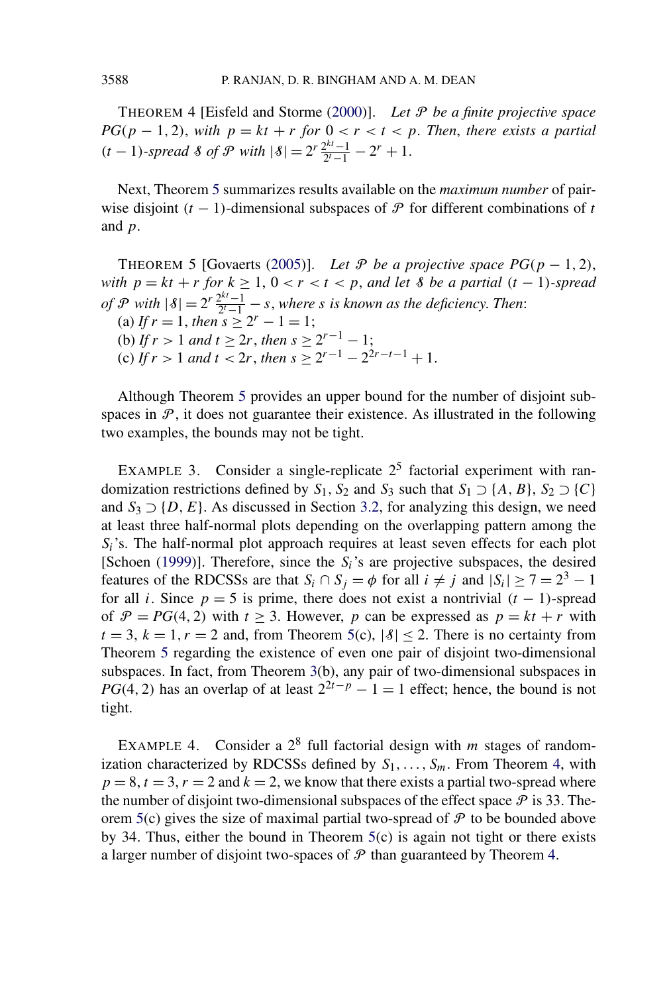THEOREM 4 [Eisfeld and Storme (2000)]. *Let* P *be a finite projective space PG*( $p - 1, 2$ ), *with*  $p = kt + r$  *for*  $0 < r < t < p$ . *Then, there exists a partial*  $(t-1)$ -spread 8 of P with  $|\mathcal{S}| = 2^r \frac{2^{kt}-1}{2^t-1}$  $\frac{2^{kt}-1}{2^t-1} - 2^r + 1.$ 

Next, Theorem 5 summarizes results available on the *maximum number* of pairwise disjoint (t – 1)-dimensional subspaces of  $P$  for different combinations of t and p.

THEOREM 5 [Govaerts (2005)]. Let P be a projective space  $PG(p-1, 2)$ , *with*  $p = kt + r$  *for*  $k \ge 1$ ,  $0 < r < t < p$ , *and let 8 be a partial*  $(t - 1)$ *-spread of*  $\mathcal{P}$  *with*  $|\mathcal{S}| = 2^r \frac{2^{kt}-1}{2^t-1}$  $\frac{2^{n}-1}{2^{t}-1}$  – s, where s is known as the deficiency. Then: (a) If  $r = 1$ , then  $s \geq 2^r - 1 = 1$ ; (b) If  $r > 1$  and  $t \ge 2r$ , then  $s \ge 2^{r-1} - 1$ ; (c) If  $r > 1$  and  $t < 2r$ , then  $s \geq 2^{r-1} - 2^{2r-t-1} + 1$ .

Although Theorem 5 provides an upper bound for the number of disjoint subspaces in  $P$ , it does not guarantee their existence. As illustrated in the following two examples, the bounds may not be tight.

EXAMPLE 3. Consider a single-replicate  $2^5$  factorial experiment with randomization restrictions defined by  $S_1$ ,  $S_2$  and  $S_3$  such that  $S_1 \supset \{A, B\}$ ,  $S_2 \supset \{C\}$ and  $S_3 \supset \{D, E\}$ . As discussed in Section 3.2, for analyzing this design, we need at least three half-normal plots depending on the overlapping pattern among the  $S_i$ 's. The half-normal plot approach requires at least seven effects for each plot [Schoen (1999)]. Therefore, since the  $S_i$ 's are projective subspaces, the desired features of the RDCSSs are that  $S_i \cap S_j = \phi$  for all  $i \neq j$  and  $|S_i| \geq 7 = 2^3 - 1$ for all *i*. Since  $p = 5$  is prime, there does not exist a nontrivial  $(t - 1)$ -spread of  $\mathcal{P} = PG(4, 2)$  with  $t \geq 3$ . However, p can be expressed as  $p = kt + r$  with  $t = 3$ ,  $k = 1$ ,  $r = 2$  and, from Theorem 5(c),  $|\mathcal{S}| \leq 2$ . There is no certainty from Theorem 5 regarding the existence of even one pair of disjoint two-dimensional subspaces. In fact, from Theorem 3(b), any pair of two-dimensional subspaces in *PG*(4, 2) has an overlap of at least  $2^{2t-p} - 1 = 1$  effect; hence, the bound is not tight.

EXAMPLE 4. Consider a  $2^8$  full factorial design with *m* stages of randomization characterized by RDCSSs defined by  $S_1, \ldots, S_m$ . From Theorem 4, with  $p = 8$ ,  $t = 3$ ,  $r = 2$  and  $k = 2$ , we know that there exists a partial two-spread where the number of disjoint two-dimensional subspaces of the effect space  $P$  is 33. Theorem 5(c) gives the size of maximal partial two-spread of  $P$  to be bounded above by 34. Thus, either the bound in Theorem 5(c) is again not tight or there exists a larger number of disjoint two-spaces of  $P$  than guaranteed by Theorem 4.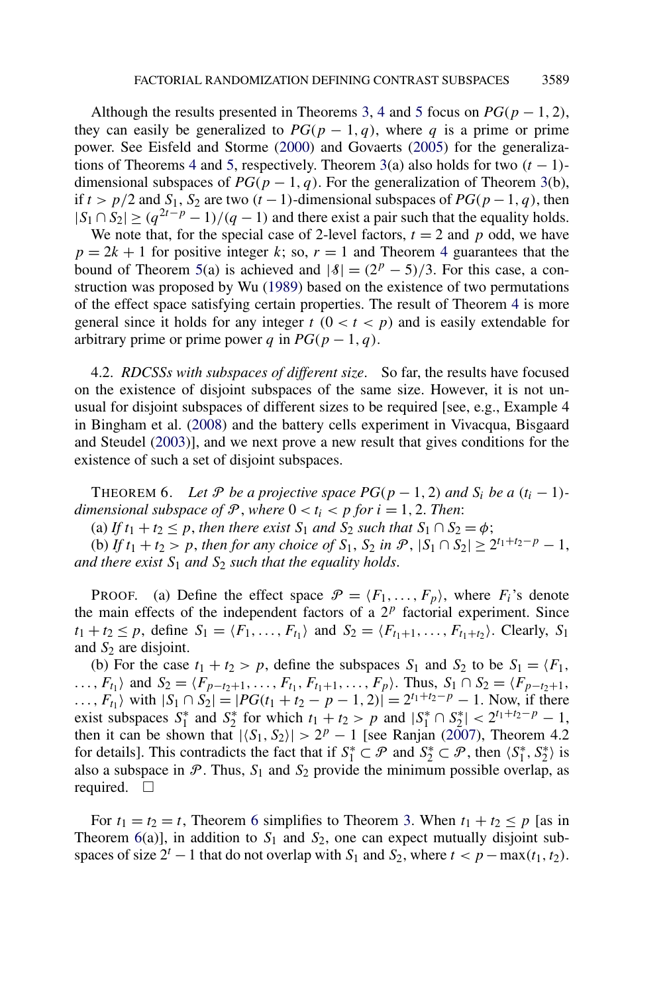Although the results presented in Theorems 3, 4 and 5 focus on  $PG(p-1, 2)$ , they can easily be generalized to  $PG(p-1,q)$ , where q is a prime or prime power. See Eisfeld and Storme (2000) and Govaerts (2005) for the generalizations of Theorems 4 and 5, respectively. Theorem 3(a) also holds for two  $(t - 1)$ dimensional subspaces of  $PG(p-1,q)$ . For the generalization of Theorem 3(b), if  $t > p/2$  and  $S_1$ ,  $S_2$  are two  $(t − 1)$ -dimensional subspaces of  $PG(p − 1, q)$ , then  $|S_1 \cap S_2| \ge (q^{2t-p} - 1)/(q - 1)$  and there exist a pair such that the equality holds.

We note that, for the special case of 2-level factors,  $t = 2$  and p odd, we have  $p = 2k + 1$  for positive integer k; so,  $r = 1$  and Theorem 4 guarantees that the bound of Theorem 5(a) is achieved and  $|\delta| = (2^p - 5)/3$ . For this case, a construction was proposed by Wu (1989) based on the existence of two permutations of the effect space satisfying certain properties. The result of Theorem 4 is more general since it holds for any integer  $t$   $(0 < t < p)$  and is easily extendable for arbitrary prime or prime power q in  $PG(p-1, q)$ .

4.2. *RDCSSs with subspaces of different size*. So far, the results have focused on the existence of disjoint subspaces of the same size. However, it is not unusual for disjoint subspaces of different sizes to be required [see, e.g., Example 4 in Bingham et al. (2008) and the battery cells experiment in Vivacqua, Bisgaard and Steudel (2003)], and we next prove a new result that gives conditions for the existence of such a set of disjoint subspaces.

THEOREM 6. Let P be a projective space  $PG(p-1, 2)$  and  $S_i$  be a  $(t_i - 1)$ *dimensional subspace of*  $P$ , *where*  $0 < t_i < p$  *for*  $i = 1, 2$ . *Then:* 

(a) *If*  $t_1 + t_2 \leq p$ , *then there exist*  $S_1$  *and*  $S_2$  *such that*  $S_1 \cap S_2 = \phi$ ;

(b) If  $t_1 + t_2 > p$ , then for any choice of  $S_1$ ,  $S_2$  in  $\mathcal{P}$ ,  $|S_1 \cap S_2| \ge 2^{t_1 + t_2 - p} - 1$ , and there exist  $S_1$  and  $S_2$  such that the equality holds.

PROOF. (a) Define the effect space  $\mathcal{P} = \langle F_1, \dots, F_p \rangle$ , where  $F_i$ 's denote the main effects of the independent factors of a  $2^p$  factorial experiment. Since  $t_1 + t_2 \le p$ , define  $S_1 = \langle F_1, \ldots, F_{t_1} \rangle$  and  $S_2 = \langle F_{t_1+1}, \ldots, F_{t_1+t_2} \rangle$ . Clearly,  $S_1$ and  $S_2$  are disjoint.

(b) For the case  $t_1 + t_2 > p$ , define the subspaces  $S_1$  and  $S_2$  to be  $S_1 = \langle F_1,$ ...,  $F_{t_1}$  and  $S_2 = \langle F_{p-t_2+1}, \ldots, F_{t_1}, F_{t_1+1}, \ldots, F_p \rangle$ . Thus,  $S_1 \cap S_2 = \langle F_{p-t_2+1}, \ldots, F_{p+1} \rangle$ ...,  $F_{t_1}$ ) with  $|S_1 \cap S_2|$  =  $|PG(t_1 + t_2 - p - 1, 2)| = 2^{t_1 + t_2 - p} - 1$ . Now, if there exist subspaces  $S_1^*$  and  $S_2^*$  for which  $t_1 + t_2 > p$  and  $|S_1^* \cap S_2^*| < 2^{t_1+t_2-p} - 1$ , then it can be shown that  $|\langle S_1, S_2 \rangle| > 2^p - 1$  [see Ranjan (2007), Theorem 4.2 for details]. This contradicts the fact that if  $S_1^* \subset \mathcal{P}$  and  $S_2^* \subset \mathcal{P}$ , then  $\langle S_1^*, S_2^* \rangle$  is also a subspace in  $\mathcal{P}$ . Thus,  $S_1$  and  $S_2$  provide the minimum possible overlap, as required.  $\Box$ 

For  $t_1 = t_2 = t$ , Theorem 6 simplifies to Theorem 3. When  $t_1 + t_2 \le p$  [as in Theorem 6(a)], in addition to  $S_1$  and  $S_2$ , one can expect mutually disjoint subspaces of size  $2^t - 1$  that do not overlap with  $S_1$  and  $S_2$ , where  $t < p - \max(t_1, t_2)$ .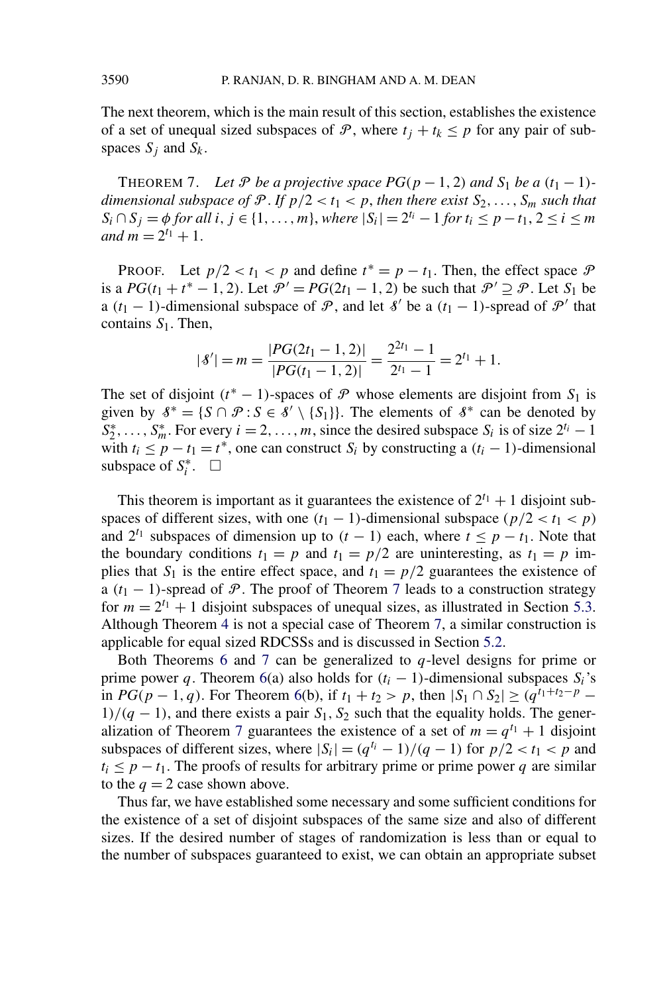The next theorem, which is the main result of this section, establishes the existence of a set of unequal sized subspaces of P, where  $t_i + t_k \leq p$  for any pair of subspaces  $S_i$  and  $S_k$ .

THEOREM 7. Let P be a projective space  $PG(p-1, 2)$  and  $S_1$  be a  $(t_1 - 1)$ *dimensional subspace of*  $\mathcal{P}$ . If  $p/2 < t_1 < p$ , then there exist  $S_2, \ldots, S_m$  such that  $S_i \cap S_j = \phi$  for all  $i, j \in \{1, ..., m\}$ , where  $|S_i| = 2^{t_i} - 1$  for  $t_i \le p - t_1, 2 \le i \le m$ *and*  $m = 2^{t_1} + 1$ .

PROOF. Let  $p/2 < t_1 < p$  and define  $t^* = p - t_1$ . Then, the effect space  $\mathcal{P}$ is a  $PG(t_1 + t^* - 1, 2)$ . Let  $\mathcal{P}' = PG(2t_1 - 1, 2)$  be such that  $\mathcal{P}' \supseteq \mathcal{P}$ . Let  $S_1$  be a  $(t_1 - 1)$ -dimensional subspace of  $\mathcal{P}$ , and let  $\mathcal{S}'$  be a  $(t_1 - 1)$ -spread of  $\mathcal{P}'$  that contains  $S_1$ . Then,

$$
|\delta'| = m = \frac{|PG(2t_1 - 1, 2)|}{|PG(t_1 - 1, 2)|} = \frac{2^{2t_1} - 1}{2^{t_1} - 1} = 2^{t_1} + 1.
$$

The set of disjoint ( $t^*$  − 1)-spaces of  $\mathcal P$  whose elements are disjoint from  $S_1$  is given by  $\mathcal{S}^* = \{ S \cap \mathcal{P} : S \in \mathcal{S}' \setminus \{S_1\} \}$ . The elements of  $\mathcal{S}^*$  can be denoted by  $S_2^*, \ldots, S_m^*$ . For every  $i = 2, \ldots, m$ , since the desired subspace  $S_i$  is of size  $2^{t_i} - 1$ with  $t_i \leq p - t_1 = t^*$ , one can construct  $S_i$  by constructing a  $(t_i - 1)$ -dimensional subspace of  $S_i^*$ .  $\Box$ 

This theorem is important as it guarantees the existence of  $2^{t_1} + 1$  disjoint subspaces of different sizes, with one  $(t_1 - 1)$ -dimensional subspace  $(p/2 < t_1 < p)$ and  $2^{t_1}$  subspaces of dimension up to  $(t - 1)$  each, where  $t \le p - t_1$ . Note that the boundary conditions  $t_1 = p$  and  $t_1 = p/2$  are uninteresting, as  $t_1 = p$  implies that  $S_1$  is the entire effect space, and  $t_1 = p/2$  guarantees the existence of a ( $t_1$  − 1)-spread of P. The proof of Theorem 7 leads to a construction strategy for  $m = 2^{t_1} + 1$  disjoint subspaces of unequal sizes, as illustrated in Section 5.3. Although Theorem 4 is not a special case of Theorem 7, a similar construction is applicable for equal sized RDCSSs and is discussed in Section 5.2.

Both Theorems 6 and 7 can be generalized to  $q$ -level designs for prime or prime power q. Theorem 6(a) also holds for  $(t<sub>i</sub> - 1)$ -dimensional subspaces  $S<sub>i</sub>$ 's in *PG*(*p* − 1, *q*). For Theorem 6(b), if  $t_1 + t_2 > p$ , then  $|S_1 \cap S_2| \ge (q^{t_1 + t_2 - p} - 1)$  $1/(q-1)$ , and there exists a pair  $S_1$ ,  $S_2$  such that the equality holds. The generalization of Theorem 7 guarantees the existence of a set of  $m = q^{t_1} + 1$  disjoint subspaces of different sizes, where  $|S_i| = \frac{q^{t_i} - 1}{q - 1}$  for  $p/2 < t_1 < p$  and  $t_i \leq p - t_1$ . The proofs of results for arbitrary prime or prime power q are similar to the  $q = 2$  case shown above.

Thus far, we have established some necessary and some sufficient conditions for the existence of a set of disjoint subspaces of the same size and also of different sizes. If the desired number of stages of randomization is less than or equal to the number of subspaces guaranteed to exist, we can obtain an appropriate subset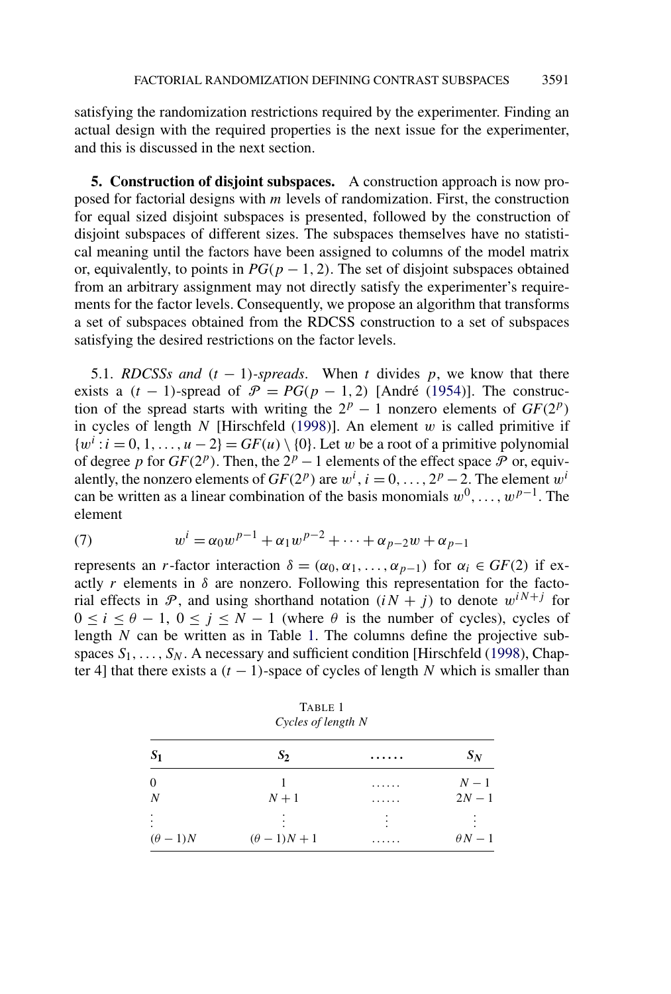satisfying the randomization restrictions required by the experimenter. Finding an actual design with the required properties is the next issue for the experimenter, and this is discussed in the next section.

**5. Construction of disjoint subspaces.** A construction approach is now proposed for factorial designs with  $m$  levels of randomization. First, the construction for equal sized disjoint subspaces is presented, followed by the construction of disjoint subspaces of different sizes. The subspaces themselves have no statistical meaning until the factors have been assigned to columns of the model matrix or, equivalently, to points in  $PG(p-1, 2)$ . The set of disjoint subspaces obtained from an arbitrary assignment may not directly satisfy the experimenter's requirements for the factor levels. Consequently, we propose an algorithm that transforms a set of subspaces obtained from the RDCSS construction to a set of subspaces satisfying the desired restrictions on the factor levels.

5.1. *RDCSSs and*  $(t - 1)$ -spreads. When t divides p, we know that there exists a  $(t - 1)$ -spread of  $\mathcal{P} = PG(p - 1, 2)$  [André (1954)]. The construction of the spread starts with writing the  $2^p - 1$  nonzero elements of  $GF(2^p)$ in cycles of length  $N$  [Hirschfeld (1998)]. An element  $w$  is called primitive if  $\{w^i : i = 0, 1, \ldots, u - 2\} = GF(u) \setminus \{0\}$ . Let w be a root of a primitive polynomial of degree p for  $GF(2^p)$ . Then, the  $2^p - 1$  elements of the effect space  $\hat{P}$  or, equivalently, the nonzero elements of  $GF(2^p)$  are  $w^i$ ,  $i = 0, \ldots, 2^p - 2$ . The element  $w^i$ can be written as a linear combination of the basis monomials  $w^0, \ldots, w^{p-1}$ . The element

(7) 
$$
w^{i} = \alpha_0 w^{p-1} + \alpha_1 w^{p-2} + \dots + \alpha_{p-2} w + \alpha_{p-1}
$$

represents an *r*-factor interaction  $\delta = (\alpha_0, \alpha_1, \dots, \alpha_{p-1})$  for  $\alpha_i \in GF(2)$  if exactly r elements in  $\delta$  are nonzero. Following this representation for the factorial effects in  $\mathcal{P}$ , and using shorthand notation  $(iN + j)$  to denote  $w^{iN+j}$  for  $0 \le i \le \theta - 1$ ,  $0 \le j \le N - 1$  (where  $\theta$  is the number of cycles), cycles of length  $N$  can be written as in Table 1. The columns define the projective subspaces  $S_1, \ldots, S_N$ . A necessary and sufficient condition [Hirschfeld (1998), Chapter 4] that there exists a  $(t - 1)$ -space of cycles of length N which is smaller than

| $S_1$            | $S_2$               | . | $S_N$        |  |
|------------------|---------------------|---|--------------|--|
| $\boldsymbol{0}$ |                     | . | $N-1$        |  |
| $\boldsymbol{N}$ | $N+1$               | . | $2N - 1$     |  |
|                  |                     |   |              |  |
| $(\theta - 1)N$  | $(\theta - 1)N + 1$ | . | $\theta N-1$ |  |

TABLE 1 *Cycles of length* N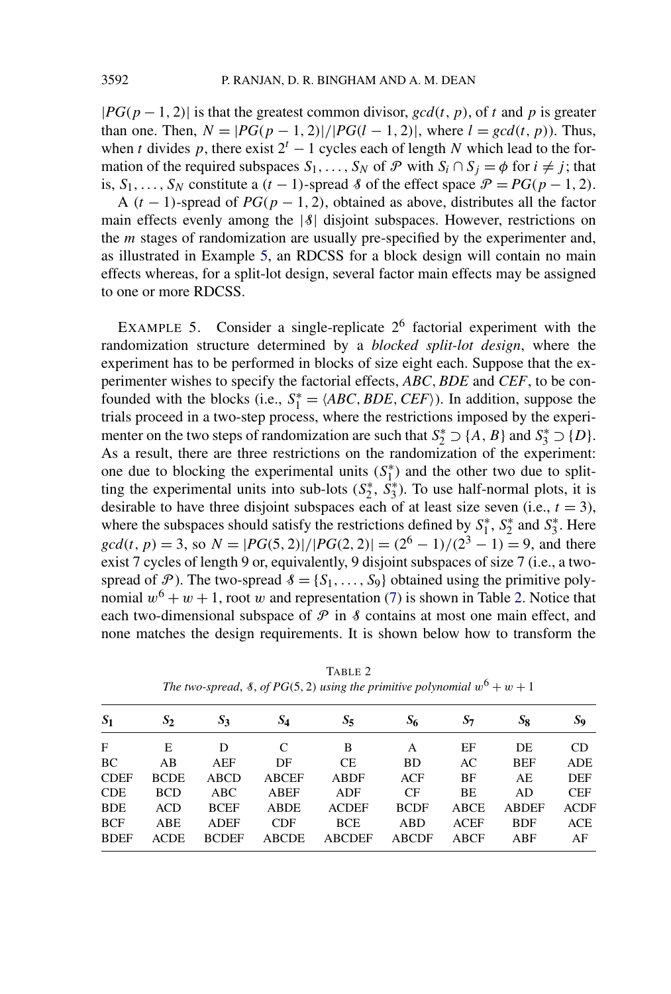$|PG(p-1, 2)|$  is that the greatest common divisor,  $gcd(t, p)$ , of t and p is greater than one. Then,  $N = |PG(p-1, 2)|/|PG(l-1, 2)|$ , where  $l = gcd(t, p)$ ). Thus, when t divides p, there exist  $2<sup>t</sup> - 1$  cycles each of length N which lead to the formation of the required subspaces  $S_1, \ldots, S_N$  of  $\mathcal P$  with  $S_i \cap S_j = \phi$  for  $i \neq j$ ; that is,  $S_1, \ldots, S_N$  constitute a  $(t - 1)$ -spread *8* of the effect space  $\mathcal{P} = PG(p - 1, 2)$ .

A  $(t - 1)$ -spread of  $PG(p - 1, 2)$ , obtained as above, distributes all the factor main effects evenly among the  $|\mathcal{S}|$  disjoint subspaces. However, restrictions on the *m* stages of randomization are usually pre-specified by the experimenter and, as illustrated in Example 5, an RDCSS for a block design will contain no main effects whereas, for a split-lot design, several factor main effects may be assigned to one or more RDCSS.

EXAMPLE 5. Consider a single-replicate  $2^6$  factorial experiment with the randomization structure determined by a *blocked split-lot design*, where the experiment has to be performed in blocks of size eight each. Suppose that the experimenter wishes to specify the factorial effects, *ABC*,*BDE* and *CEF*, to be confounded with the blocks (i.e.,  $S_1^* = \langle ABC, BDE, CEF \rangle$ ). In addition, suppose the trials proceed in a two-step process, where the restrictions imposed by the experimenter on the two steps of randomization are such that  $S_2^* \supseteq \{A, B\}$  and  $S_3^* \supseteq \{D\}$ . As a result, there are three restrictions on the randomization of the experiment: one due to blocking the experimental units  $(S_1^*)$  and the other two due to splitting the experimental units into sub-lots  $(S_2^*, S_3^*)$ . To use half-normal plots, it is desirable to have three disjoint subspaces each of at least size seven (i.e.,  $t = 3$ ), where the subspaces should satisfy the restrictions defined by  $S_1^*$ ,  $S_2^*$  and  $S_3^*$ . Here  $gcd(t, p) = 3$ , so  $N = |PG(5, 2)|/|PG(2, 2)| = (2<sup>6</sup> - 1)/(2<sup>3</sup> - 1) = 9$ , and there exist 7 cycles of length 9 or, equivalently, 9 disjoint subspaces of size 7 (i.e., a twospread of  $\mathcal{P}$ ). The two-spread  $\mathcal{S} = \{S_1, \ldots, S_9\}$  obtained using the primitive polynomial  $w^6 + w + 1$ , root w and representation (7) is shown in Table 2. Notice that each two-dimensional subspace of  $P$  in  $\delta$  contains at most one main effect, and none matches the design requirements. It is shown below how to transform the

| S <sub>1</sub> | $S_2$       | S3           | $S_4$        | $S_5$         | S6           | $S_7$       | $S_8$        | $S_9$       |
|----------------|-------------|--------------|--------------|---------------|--------------|-------------|--------------|-------------|
| F              | Е           | D            | C            | B             | A            | EF          | DE           | CD          |
| BC             | AB          | AEF          | DF           | <b>CE</b>     | <b>BD</b>    | AC          | <b>BEF</b>   | <b>ADE</b>  |
| <b>CDEF</b>    | <b>BCDE</b> | <b>ABCD</b>  | <b>ABCEF</b> | <b>ABDF</b>   | ACF          | BF          | AE           | DEF         |
| <b>CDE</b>     | <b>BCD</b>  | ABC          | <b>ABEF</b>  | ADF           | <b>CF</b>    | BE          | AD           | <b>CEF</b>  |
| <b>BDE</b>     | ACD         | <b>BCEF</b>  | <b>ABDE</b>  | <b>ACDEF</b>  | <b>BCDF</b>  | <b>ABCE</b> | <b>ABDEF</b> | <b>ACDF</b> |
| <b>BCF</b>     | ABE         | <b>ADEF</b>  | CDF          | <b>BCE</b>    | ABD          | <b>ACEF</b> | <b>BDF</b>   | ACE         |
| <b>BDEF</b>    | <b>ACDE</b> | <b>BCDEF</b> | <b>ABCDE</b> | <b>ABCDEF</b> | <b>ABCDF</b> | <b>ABCF</b> | ABF          | AF          |
|                |             |              |              |               |              |             |              |             |

TABLE 2 *The two-spread, 8, of PG*(5, 2) *using the primitive polynomial*  $w^6 + w + 1$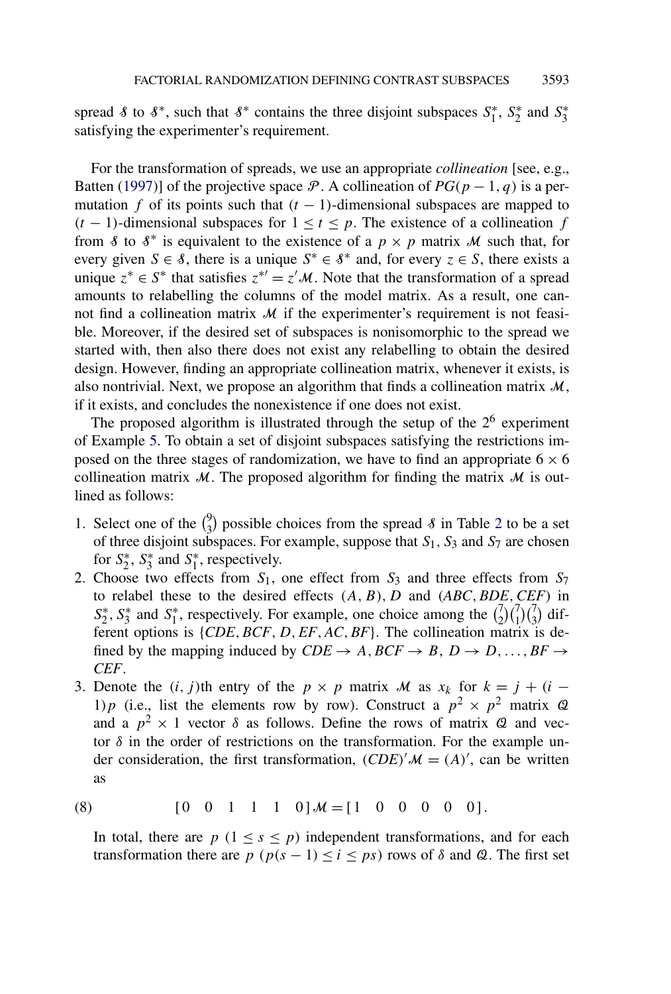spread 8 to  $S^*$ , such that  $S^*$  contains the three disjoint subspaces  $S^*_1$ ,  $S^*_2$  and  $S^*_3$ satisfying the experimenter's requirement.

For the transformation of spreads, we use an appropriate *collineation* [see, e.g., Batten (1997)] of the projective space P. A collineation of  $PG(p-1,q)$  is a permutation f of its points such that  $(t - 1)$ -dimensional subspaces are mapped to  $(t - 1)$ -dimensional subspaces for  $1 \le t \le p$ . The existence of a collineation f from *§* to  $\delta^*$  is equivalent to the existence of a  $p \times p$  matrix *M* such that, for every given  $S \in \mathcal{S}$ , there is a unique  $S^* \in \mathcal{S}^*$  and, for every  $z \in S$ , there exists a unique  $z^* \in S^*$  that satisfies  $z^{*'} = z' \mathcal{M}$ . Note that the transformation of a spread amounts to relabelling the columns of the model matrix. As a result, one cannot find a collineation matrix  $M$  if the experimenter's requirement is not feasible. Moreover, if the desired set of subspaces is nonisomorphic to the spread we started with, then also there does not exist any relabelling to obtain the desired design. However, finding an appropriate collineation matrix, whenever it exists, is also nontrivial. Next, we propose an algorithm that finds a collineation matrix  $M$ , if it exists, and concludes the nonexistence if one does not exist.

The proposed algorithm is illustrated through the setup of the  $2<sup>6</sup>$  experiment of Example 5. To obtain a set of disjoint subspaces satisfying the restrictions imposed on the three stages of randomization, we have to find an appropriate  $6 \times 6$ collineation matrix  $M$ . The proposed algorithm for finding the matrix  $M$  is outlined as follows:

- 1. Select one of the  $\binom{9}{3}$  $^{9}_{3}$ ) possible choices from the spread  $\delta$  in Table 2 to be a set of three disjoint subspaces. For example, suppose that  $S_1$ ,  $S_3$  and  $S_7$  are chosen for  $S_2^*$ ,  $S_3^*$  and  $S_1^*$ , respectively.
- 2. Choose two effects from  $S_1$ , one effect from  $S_3$  and three effects from  $S_7$ to relabel these to the desired effects (A, B), D and (*ABC*,*BDE*,*CEF*) in  $S_2^*$ ,  $S_3^*$  and  $S_1^*$ , respectively. For example, one choice among the  $\binom{7}{2}$  $^{7}_{2}$  $^{7}_{1}$  $^{7}_{3}$  $^{7}_{4}$  $^{1}_{3}$  $^{1}_{4}$  $^{1}_{5}$ ferent options is {*CDE*,*BCF*,D,*EF*,*AC*,*BF*}. The collineation matrix is defined by the mapping induced by  $CDE \rightarrow A$ ,  $BCF \rightarrow B$ ,  $D \rightarrow D, \ldots, BF \rightarrow$ *CEF*.
- 3. Denote the  $(i, j)$ th entry of the  $p \times p$  matrix M as  $x_k$  for  $k = j + (i j)$ 1) p (i.e., list the elements row by row). Construct a  $p^2 \times p^2$  matrix  $\mathcal Q$ and a  $p^2 \times 1$  vector  $\delta$  as follows. Define the rows of matrix  $\mathcal Q$  and vector  $\delta$  in the order of restrictions on the transformation. For the example under consideration, the first transformation,  $(CDE)' \mathcal{M} = (A)'$ , can be written as

(8) 
$$
[0 \ 0 \ 1 \ 1 \ 1 \ 0] \mathcal{M} = [1 \ 0 \ 0 \ 0 \ 0 \ 0].
$$

In total, there are  $p$  ( $1 \leq s \leq p$ ) independent transformations, and for each transformation there are  $p$  ( $p(s - 1) \le i \le ps$ ) rows of  $\delta$  and  $\varnothing$ . The first set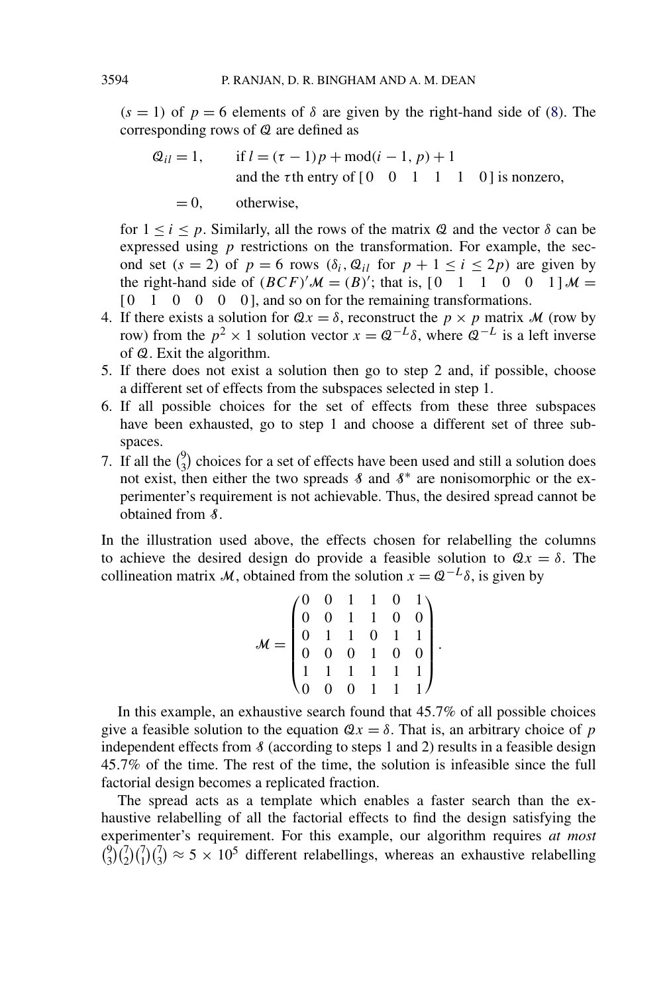$(s = 1)$  of  $p = 6$  elements of  $\delta$  are given by the right-hand side of (8). The corresponding rows of Q are defined as

Qil = 1, if l = (τ − 1)p + mod(i − 1,p) + 1 and the τ th entry of [ 001110 ] is nonzero, = 0, otherwise,

for  $1 \le i \le p$ . Similarly, all the rows of the matrix Q and the vector  $\delta$  can be expressed using  $p$  restrictions on the transformation. For example, the second set  $(s = 2)$  of  $p = 6$  rows  $(\delta_i, \mathcal{Q}_{i,j})$  for  $p + 1 \le i \le 2p$ ) are given by the right-hand side of  $(BCF)'M = (B)'$ ; that is,  $[0 \ 1 \ 1 \ 0 \ 0 \ 1]M =$  $\begin{bmatrix} 0 & 1 & 0 & 0 & 0 & 0 \end{bmatrix}$ , and so on for the remaining transformations.

- 4. If there exists a solution for  $Qx = \delta$ , reconstruct the  $p \times p$  matrix M (row by row) from the  $p^2 \times 1$  solution vector  $x = \mathcal{Q}^{-L} \delta$ , where  $\mathcal{Q}^{-L}$  is a left inverse of Q. Exit the algorithm.
- 5. If there does not exist a solution then go to step 2 and, if possible, choose a different set of effects from the subspaces selected in step 1.
- 6. If all possible choices for the set of effects from these three subspaces have been exhausted, go to step 1 and choose a different set of three subspaces.
- 7. If all the  $\binom{9}{3}$  $\binom{9}{3}$  choices for a set of effects have been used and still a solution does not exist, then either the two spreads  $\delta$  and  $\delta^*$  are nonisomorphic or the experimenter's requirement is not achievable. Thus, the desired spread cannot be obtained from  $\delta$ .

In the illustration used above, the effects chosen for relabelling the columns to achieve the desired design do provide a feasible solution to  $Qx = \delta$ . The collineation matrix M, obtained from the solution  $x = Q^{-L}\delta$ , is given by

$$
\mathcal{M} = \begin{pmatrix} 0 & 0 & 1 & 1 & 0 & 1 \\ 0 & 0 & 1 & 1 & 0 & 0 \\ 0 & 1 & 1 & 0 & 1 & 1 \\ 0 & 0 & 0 & 1 & 0 & 0 \\ 1 & 1 & 1 & 1 & 1 & 1 \\ 0 & 0 & 0 & 1 & 1 & 1 \end{pmatrix}.
$$

In this example, an exhaustive search found that 45.7% of all possible choices give a feasible solution to the equation  $Qx = \delta$ . That is, an arbitrary choice of p independent effects from  $\delta$  (according to steps 1 and 2) results in a feasible design 45.7% of the time. The rest of the time, the solution is infeasible since the full factorial design becomes a replicated fraction.

The spread acts as a template which enables a faster search than the exhaustive relabelling of all the factorial effects to find the design satisfying the experimenter's requirement. For this example, our algorithm requires *at most*  $\binom{9}{2}$  $\binom{9}{3}\binom{7}{2}\binom{7}{1}\binom{7}{3} \approx 5 \times 10^5$  different relabellings, whereas an exhaustive relabelling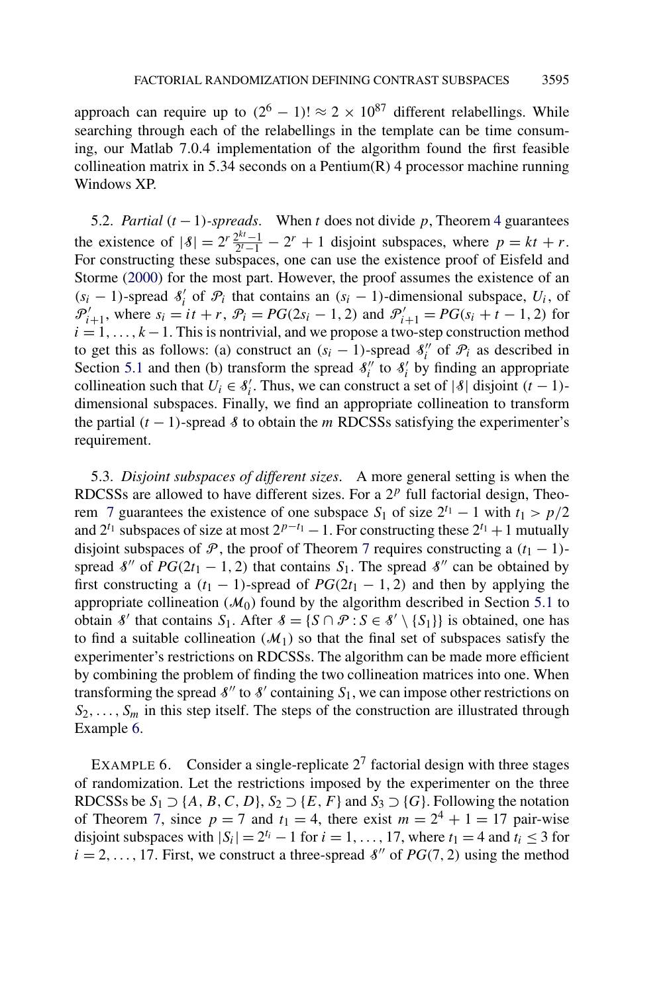approach can require up to  $(2^6 - 1)! \approx 2 \times 10^{87}$  different relabellings. While searching through each of the relabellings in the template can be time consuming, our Matlab 7.0.4 implementation of the algorithm found the first feasible collineation matrix in 5.34 seconds on a Pentium $(R)$  4 processor machine running Windows XP.

5.2. *Partial*  $(t - 1)$ -spreads. When t does not divide p, Theorem 4 guarantees the existence of  $|\delta| = 2^r \frac{2^{kt}-1}{2^t-1}$  $\frac{2^{k}t-1}{2^k-1} - 2^r + 1$  disjoint subspaces, where  $p = kt + r$ . For constructing these subspaces, one can use the existence proof of Eisfeld and Storme (2000) for the most part. However, the proof assumes the existence of an  $(s_i - 1)$ -spread  $\delta'_i$  of  $\mathcal{P}_i$  that contains an  $(s_i - 1)$ -dimensional subspace,  $U_i$ , of  $\mathcal{P}'_{i+1}$ , where  $s_i = it + r$ ,  $\mathcal{P}_i = PG(2s_i - 1, 2)$  and  $\mathcal{P}'_{i+1} = PG(s_i + t - 1, 2)$  for  $i = 1, \ldots, k-1$ . This is nontrivial, and we propose a two-step construction method to get this as follows: (a) construct an  $(s_i - 1)$ -spread  $\delta_i''$  of  $\mathcal{P}_i$  as described in Section 5.1 and then (b) transform the spread  $\delta_i''$  to  $\delta_i'$  by finding an appropriate collineation such that  $U_i \in \mathcal{S}'_i$ . Thus, we can construct a set of |  $\mathcal{S}$ | disjoint  $(t - 1)$ dimensional subspaces. Finally, we find an appropriate collineation to transform the partial  $(t - 1)$ -spread *S* to obtain the *m* RDCSSs satisfying the experimenter's requirement.

5.3. *Disjoint subspaces of different sizes*. A more general setting is when the RDCSSs are allowed to have different sizes. For a  $2<sup>p</sup>$  full factorial design, Theorem 7 guarantees the existence of one subspace  $S_1$  of size  $2^{t_1} - 1$  with  $t_1 > p/2$ and  $2^{t_1}$  subspaces of size at most  $2^{p-t_1} - 1$ . For constructing these  $2^{t_1} + 1$  mutually disjoint subspaces of P, the proof of Theorem 7 requires constructing a  $(t_1 - 1)$ spread  $S''$  of  $PG(2t_1 - 1, 2)$  that contains  $S_1$ . The spread  $S''$  can be obtained by first constructing a  $(t_1 - 1)$ -spread of  $PG(2t_1 - 1, 2)$  and then by applying the appropriate collineation ( $\mathcal{M}_0$ ) found by the algorithm described in Section 5.1 to obtain S' that contains S<sub>1</sub>. After  $S = \{S \cap \mathcal{P} : S \in \mathcal{S}' \setminus \{S_1\}\}\$ is obtained, one has to find a suitable collineation  $(M_1)$  so that the final set of subspaces satisfy the experimenter's restrictions on RDCSSs. The algorithm can be made more efficient by combining the problem of finding the two collineation matrices into one. When transforming the spread  $\mathcal{S}''$  to  $\mathcal{S}'$  containing  $S_1$ , we can impose other restrictions on  $S_2, \ldots, S_m$  in this step itself. The steps of the construction are illustrated through Example 6.

EXAMPLE 6. Consider a single-replicate  $2<sup>7</sup>$  factorial design with three stages of randomization. Let the restrictions imposed by the experimenter on the three RDCSSs be  $S_1 \supset \{A, B, C, D\}$ ,  $S_2 \supset \{E, F\}$  and  $S_3 \supset \{G\}$ . Following the notation of Theorem 7, since  $p = 7$  and  $t_1 = 4$ , there exist  $m = 2^4 + 1 = 17$  pair-wise disjoint subspaces with  $|S_i| = 2^{t_i} - 1$  for  $i = 1, ..., 17$ , where  $t_1 = 4$  and  $t_i \le 3$  for  $i = 2, \ldots, 17$ . First, we construct a three-spread  $\mathcal{S}''$  of  $PG(7, 2)$  using the method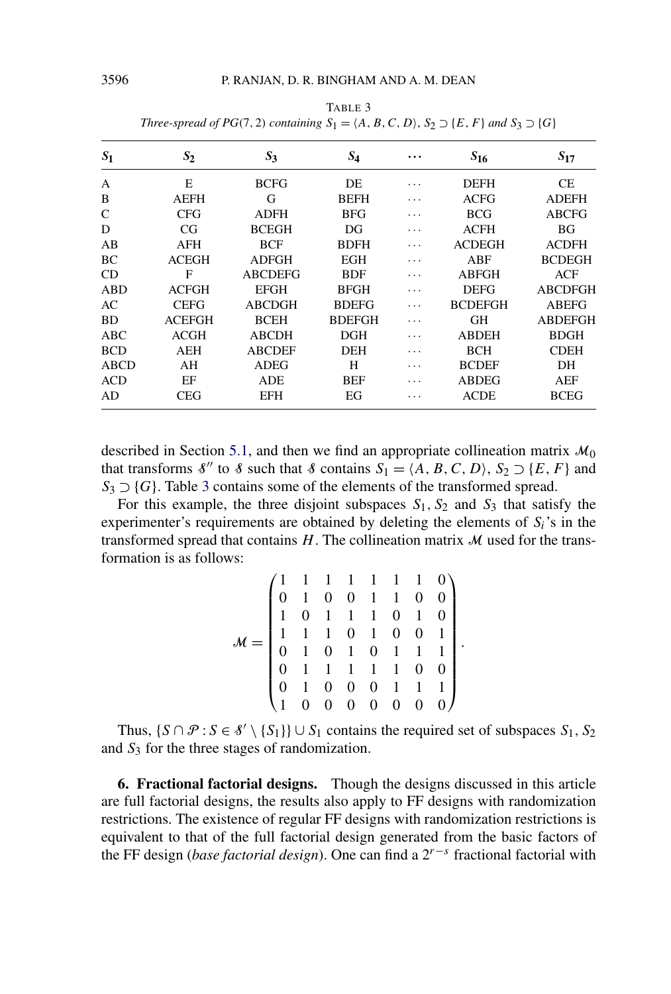| S <sub>1</sub> | $S_2$        | $S_3$          | $S_4$         | $\cdots$ | $S_{16}$       | $S_{17}$       |
|----------------|--------------|----------------|---------------|----------|----------------|----------------|
| A              | E            | <b>BCFG</b>    | DE            | .        | <b>DEFH</b>    | <b>CE</b>      |
| B              | <b>AEFH</b>  | G              | <b>BEFH</b>   | .        | <b>ACFG</b>    | <b>ADEFH</b>   |
| C              | <b>CFG</b>   | <b>ADFH</b>    | <b>BFG</b>    | .        | <b>BCG</b>     | <b>ABCFG</b>   |
| D              | CG           | <b>BCEGH</b>   | DG            | .        | <b>ACFH</b>    | <b>BG</b>      |
| AB             | AFH          | <b>BCF</b>     | <b>BDFH</b>   | .        | <b>ACDEGH</b>  | <b>ACDFH</b>   |
| BC             | <b>ACEGH</b> | <b>ADFGH</b>   | <b>EGH</b>    | .        | ABF            | <b>BCDEGH</b>  |
| <b>CD</b>      | F            | <b>ABCDEFG</b> | <b>BDF</b>    | .        | <b>ABFGH</b>   | <b>ACF</b>     |
| <b>ABD</b>     | <b>ACFGH</b> | <b>EFGH</b>    | <b>BFGH</b>   | .        | <b>DEFG</b>    | <b>ABCDFGH</b> |
| AC             | <b>CEFG</b>  | ABCDGH         | <b>BDEFG</b>  | .        | <b>BCDEFGH</b> | <b>ABEFG</b>   |
| <b>BD</b>      | ACEFGH       | <b>BCEH</b>    | <b>BDEFGH</b> | .        | <b>GH</b>      | <b>ABDEFGH</b> |
| ABC            | ACGH         | <b>ABCDH</b>   | DGH           | .        | <b>ABDEH</b>   | <b>BDGH</b>    |
| <b>BCD</b>     | <b>AEH</b>   | <b>ABCDEF</b>  | <b>DEH</b>    | .        | <b>BCH</b>     | <b>CDEH</b>    |
| ABCD           | AH           | <b>ADEG</b>    | Н             | .        | <b>BCDEF</b>   | DH             |
| <b>ACD</b>     | EF           | <b>ADE</b>     | <b>BEF</b>    | .        | <b>ABDEG</b>   | AEF            |
| AD             | <b>CEG</b>   | <b>EFH</b>     | EG            | .        | <b>ACDE</b>    | <b>BCEG</b>    |

TABLE 3 *Three-spread of PG*(7, 2) *containing*  $S_1 = \langle A, B, C, D \rangle$ ,  $S_2 \supset \{E, F\}$  *and*  $S_3 \supset \{G\}$ 

described in Section 5.1, and then we find an appropriate collineation matrix  $\mathcal{M}_0$ that transforms  $\mathscr{S}''$  to  $\mathscr{S}$  such that  $\mathscr{S}$  contains  $S_1 = \langle A, B, C, D \rangle$ ,  $S_2 \supset \{E, F\}$  and  $S_3 \supset \{G\}$ . Table 3 contains some of the elements of the transformed spread.

For this example, the three disjoint subspaces  $S_1$ ,  $S_2$  and  $S_3$  that satisfy the experimenter's requirements are obtained by deleting the elements of  $S_i$ 's in the transformed spread that contains  $H$ . The collineation matrix  $M$  used for the transformation is as follows:

$$
\mathcal{M} = \begin{pmatrix}\n1 & 1 & 1 & 1 & 1 & 1 & 1 & 0 \\
0 & 1 & 0 & 0 & 1 & 1 & 0 & 0 \\
1 & 0 & 1 & 1 & 1 & 0 & 1 & 0 \\
1 & 1 & 1 & 0 & 1 & 0 & 0 & 1 \\
0 & 1 & 0 & 1 & 0 & 1 & 1 & 1 \\
0 & 1 & 1 & 1 & 1 & 1 & 0 & 0 \\
0 & 1 & 0 & 0 & 0 & 1 & 1 & 1 \\
1 & 0 & 0 & 0 & 0 & 0 & 0 & 0\n\end{pmatrix}
$$

.

Thus,  $\{S \cap \mathcal{P} : S \in \mathcal{S}' \setminus \{S_1\} \cup S_1 \text{ contains the required set of subspaces } S_1, S_2 \}$ and  $S_3$  for the three stages of randomization.

**6. Fractional factorial designs.** Though the designs discussed in this article are full factorial designs, the results also apply to FF designs with randomization restrictions. The existence of regular FF designs with randomization restrictions is equivalent to that of the full factorial design generated from the basic factors of the FF design (*base factorial design*). One can find a 2r−<sup>s</sup> fractional factorial with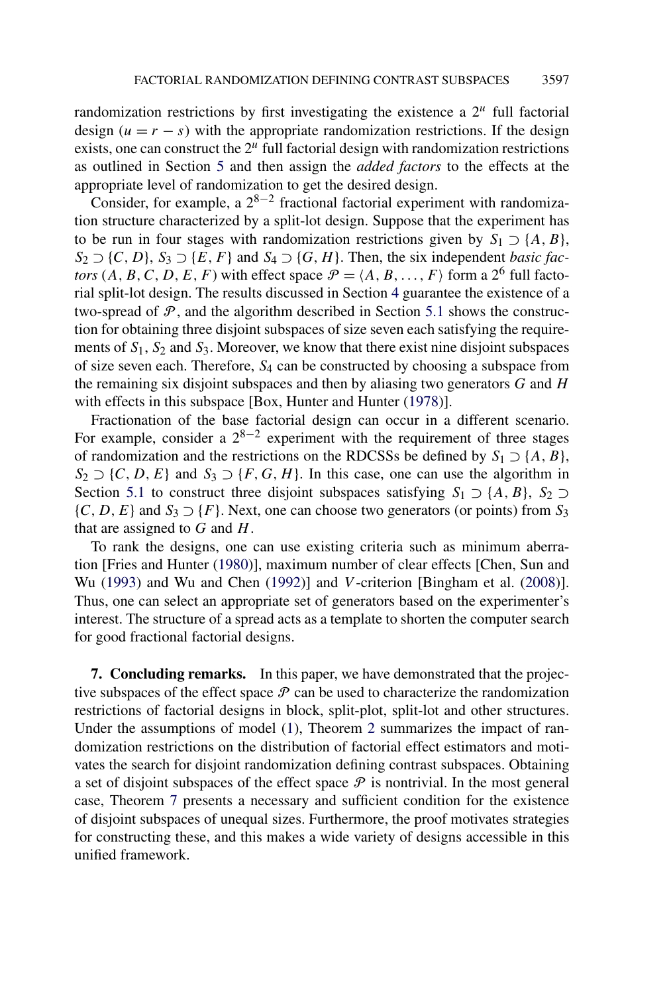randomization restrictions by first investigating the existence a  $2<sup>u</sup>$  full factorial design  $(u = r - s)$  with the appropriate randomization restrictions. If the design exists, one can construct the  $2<sup>u</sup>$  full factorial design with randomization restrictions as outlined in Section 5 and then assign the *added factors* to the effects at the appropriate level of randomization to get the desired design.

Consider, for example, a  $2^{8-2}$  fractional factorial experiment with randomization structure characterized by a split-lot design. Suppose that the experiment has to be run in four stages with randomization restrictions given by  $S_1 \supset \{A, B\}$ ,  $S_2 \supset \{C, D\}, S_3 \supset \{E, F\}$  and  $S_4 \supset \{G, H\}.$  Then, the six independent *basic factors*  $(A, B, C, D, E, F)$  with effect space  $\mathcal{P} = \langle A, B, \dots, F \rangle$  form a 2<sup>6</sup> full factorial split-lot design. The results discussed in Section 4 guarantee the existence of a two-spread of  $P$ , and the algorithm described in Section 5.1 shows the construction for obtaining three disjoint subspaces of size seven each satisfying the requirements of  $S_1$ ,  $S_2$  and  $S_3$ . Moreover, we know that there exist nine disjoint subspaces of size seven each. Therefore,  $S_4$  can be constructed by choosing a subspace from the remaining six disjoint subspaces and then by aliasing two generators  $G$  and  $H$ with effects in this subspace [Box, Hunter and Hunter (1978)].

Fractionation of the base factorial design can occur in a different scenario. For example, consider a  $2^{8-2}$  experiment with the requirement of three stages of randomization and the restrictions on the RDCSSs be defined by  $S_1 \supset \{A, B\}$ ,  $S_2 \supset \{C, D, E\}$  and  $S_3 \supset \{F, G, H\}$ . In this case, one can use the algorithm in Section 5.1 to construct three disjoint subspaces satisfying  $S_1 \supseteq \{A, B\}, S_2 \supseteq$  $\{C, D, E\}$  and  $S_3 \supset \{F\}$ . Next, one can choose two generators (or points) from  $S_3$ that are assigned to  $G$  and  $H$ .

To rank the designs, one can use existing criteria such as minimum aberration [Fries and Hunter (1980)], maximum number of clear effects [Chen, Sun and Wu (1993) and Wu and Chen (1992)] and V -criterion [Bingham et al. (2008)]. Thus, one can select an appropriate set of generators based on the experimenter's interest. The structure of a spread acts as a template to shorten the computer search for good fractional factorial designs.

**7. Concluding remarks.** In this paper, we have demonstrated that the projective subspaces of the effect space  $P$  can be used to characterize the randomization restrictions of factorial designs in block, split-plot, split-lot and other structures. Under the assumptions of model (1), Theorem 2 summarizes the impact of randomization restrictions on the distribution of factorial effect estimators and motivates the search for disjoint randomization defining contrast subspaces. Obtaining a set of disjoint subspaces of the effect space  $P$  is nontrivial. In the most general case, Theorem 7 presents a necessary and sufficient condition for the existence of disjoint subspaces of unequal sizes. Furthermore, the proof motivates strategies for constructing these, and this makes a wide variety of designs accessible in this unified framework.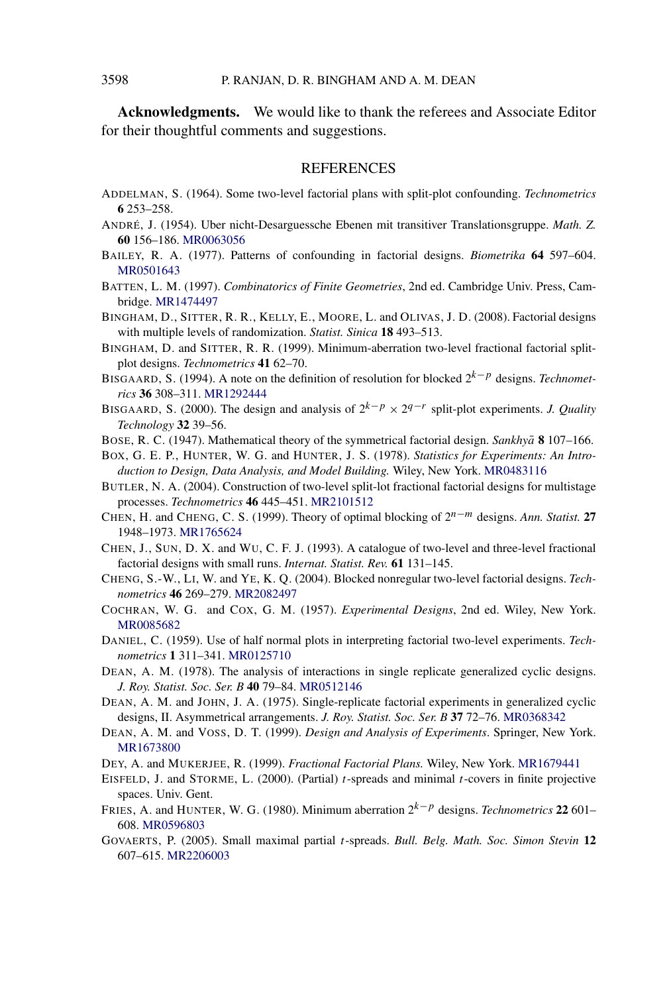**Acknowledgments.** We would like to thank the referees and Associate Editor for their thoughtful comments and suggestions.

## **REFERENCES**

- ADDELMAN, S. (1964). Some two-level factorial plans with split-plot confounding. *Technometrics* **6** 253–258.
- ANDRÉ, J. (1954). Uber nicht-Desarguessche Ebenen mit transitiver Translationsgruppe. *Math. Z.* **60** 156–186. MR0063056
- BAILEY, R. A. (1977). Patterns of confounding in factorial designs. *Biometrika* **64** 597–604. MR0501643
- BATTEN, L. M. (1997). *Combinatorics of Finite Geometries*, 2nd ed. Cambridge Univ. Press, Cambridge. MR1474497
- BINGHAM, D., SITTER, R. R., KELLY, E., MOORE, L. and OLIVAS, J. D. (2008). Factorial designs with multiple levels of randomization. *Statist. Sinica* **18** 493–513.
- BINGHAM, D. and SITTER, R. R. (1999). Minimum-aberration two-level fractional factorial splitplot designs. *Technometrics* **41** 62–70.
- BISGAARD, S. (1994). A note on the definition of resolution for blocked 2k−<sup>p</sup> designs. *Technometrics* **36** 308–311. MR1292444
- BISGAARD, S. (2000). The design and analysis of  $2^{k-p} \times 2^{q-r}$  split-plot experiments. *J. Quality Technology* **32** 39–56.
- BOSE, R. C. (1947). Mathematical theory of the symmetrical factorial design. *Sankhy*a¯ **8** 107–166.

BOX, G. E. P., HUNTER, W. G. and HUNTER, J. S. (1978). *Statistics for Experiments: An Introduction to Design, Data Analysis, and Model Building.* Wiley, New York. MR0483116

- BUTLER, N. A. (2004). Construction of two-level split-lot fractional factorial designs for multistage processes. *Technometrics* **46** 445–451. MR2101512
- CHEN, H. and CHENG, C. S. (1999). Theory of optimal blocking of 2n−<sup>m</sup> designs. *Ann. Statist.* **27** 1948–1973. MR1765624
- CHEN, J., SUN, D. X. and WU, C. F. J. (1993). A catalogue of two-level and three-level fractional factorial designs with small runs. *Internat. Statist. Rev.* **61** 131–145.
- CHENG, S.-W., LI, W. and YE, K. Q. (2004). Blocked nonregular two-level factorial designs. *Technometrics* **46** 269–279. MR2082497
- COCHRAN, W. G. and COX, G. M. (1957). *Experimental Designs*, 2nd ed. Wiley, New York. MR0085682
- DANIEL, C. (1959). Use of half normal plots in interpreting factorial two-level experiments. *Technometrics* **1** 311–341. MR0125710
- DEAN, A. M. (1978). The analysis of interactions in single replicate generalized cyclic designs. *J. Roy. Statist. Soc. Ser. B* **40** 79–84. MR0512146
- DEAN, A. M. and JOHN, J. A. (1975). Single-replicate factorial experiments in generalized cyclic designs, II. Asymmetrical arrangements. *J. Roy. Statist. Soc. Ser. B* **37** 72–76. MR0368342
- DEAN, A. M. and VOSS, D. T. (1999). *Design and Analysis of Experiments*. Springer, New York. MR1673800
- DEY, A. and MUKERJEE, R. (1999). *Fractional Factorial Plans.* Wiley, New York. MR1679441
- EISFELD, J. and STORME, L. (2000). (Partial) t-spreads and minimal t-covers in finite projective spaces. Univ. Gent.
- FRIES, A. and HUNTER, W. G. (1980). Minimum aberration 2k−<sup>p</sup> designs. *Technometrics* **22** 601– 608. MR0596803
- GOVAERTS, P. (2005). Small maximal partial t-spreads. *Bull. Belg. Math. Soc. Simon Stevin* **12** 607–615. MR2206003